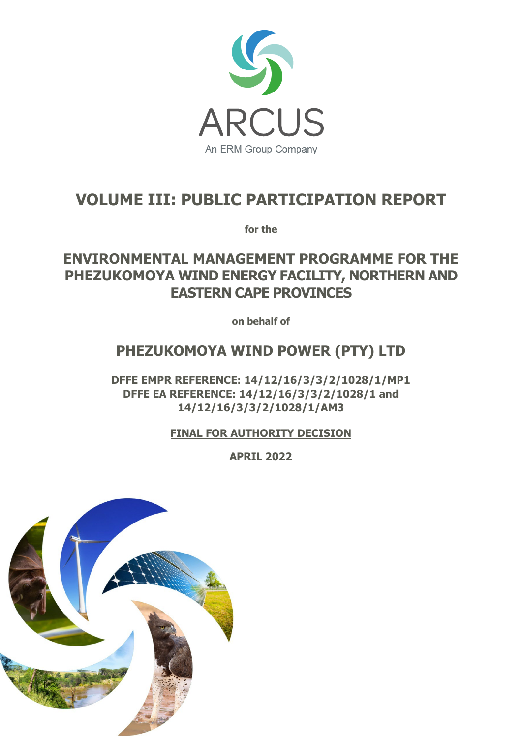

# **VOLUME III: PUBLIC PARTICIPATION REPORT**

**for the**

## **ENVIRONMENTAL MANAGEMENT PROGRAMME FOR THE PHEZUKOMOYA WIND ENERGY FACILITY, NORTHERN AND EASTERN CAPE PROVINCES**

**on behalf of**

## **PHEZUKOMOYA WIND POWER (PTY) LTD**

**DFFE EMPR REFERENCE: 14/12/16/3/3/2/1028/1/MP1 DFFE EA REFERENCE: 14/12/16/3/3/2/1028/1 and 14/12/16/3/3/2/1028/1/AM3** 

**FINAL FOR AUTHORITY DECISION**

**APRIL 2022** 

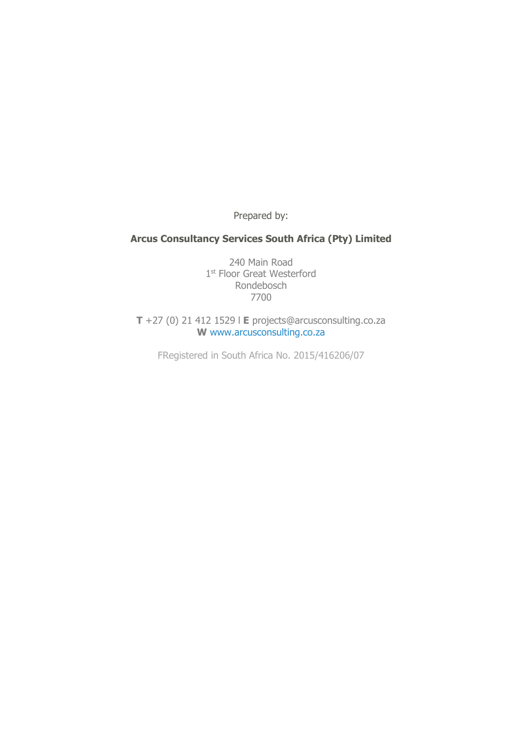Prepared by:

#### **Arcus Consultancy Services South Africa (Pty) Limited**

240 Main Road 1st Floor Great Westerford Rondebosch 7700

**T** +27 (0) 21 412 1529 l **E** projects@arcusconsulting.co.za **W** www.arcusconsulting.co.za

FRegistered in South Africa No. 2015/416206/07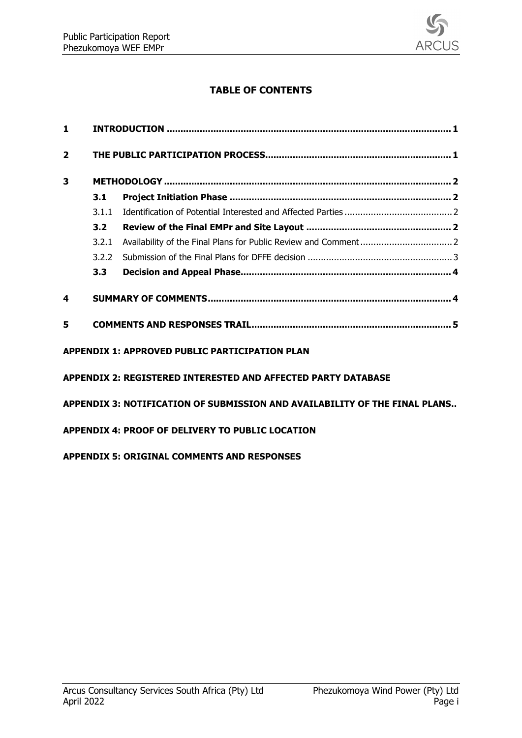

### **TABLE OF CONTENTS**

| 1                       |       |                                                                                                                               |  |  |
|-------------------------|-------|-------------------------------------------------------------------------------------------------------------------------------|--|--|
| $\overline{\mathbf{2}}$ |       |                                                                                                                               |  |  |
| 3                       |       |                                                                                                                               |  |  |
|                         | 3.1   |                                                                                                                               |  |  |
|                         | 3.1.1 |                                                                                                                               |  |  |
|                         | 3.2   |                                                                                                                               |  |  |
|                         | 3.2.1 |                                                                                                                               |  |  |
|                         | 3.2.2 |                                                                                                                               |  |  |
|                         | 3.3   |                                                                                                                               |  |  |
| 4                       |       |                                                                                                                               |  |  |
| 5                       |       |                                                                                                                               |  |  |
|                         |       | <b>APPENDIX 1: APPROVED PUBLIC PARTICIPATION PLAN</b><br><b>APPENDIX 2: REGISTERED INTERESTED AND AFFECTED PARTY DATABASE</b> |  |  |
|                         |       |                                                                                                                               |  |  |
|                         |       | APPENDIX 3: NOTIFICATION OF SUBMISSION AND AVAILABILITY OF THE FINAL PLANS                                                    |  |  |
|                         |       | <b>APPENDIX 4: PROOF OF DELIVERY TO PUBLIC LOCATION</b>                                                                       |  |  |

**APPENDIX 5: ORIGINAL [COMMENTS AND RESPONSES](#page--1-0)**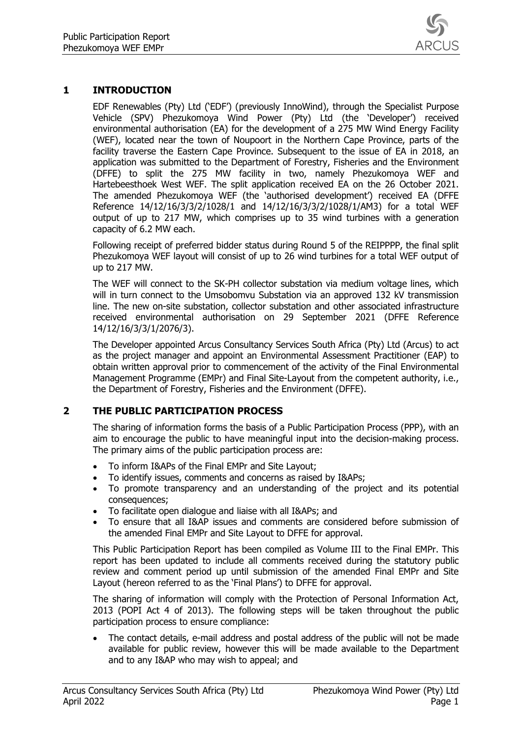

#### <span id="page-3-0"></span>**1 INTRODUCTION**

EDF Renewables (Pty) Ltd ('EDF') (previously InnoWind), through the Specialist Purpose Vehicle (SPV) Phezukomoya Wind Power (Pty) Ltd (the 'Developer') received environmental authorisation (EA) for the development of a 275 MW Wind Energy Facility (WEF), located near the town of Noupoort in the Northern Cape Province, parts of the facility traverse the Eastern Cape Province. Subsequent to the issue of EA in 2018, an application was submitted to the Department of Forestry, Fisheries and the Environment (DFFE) to split the 275 MW facility in two, namely Phezukomoya WEF and Hartebeesthoek West WEF. The split application received EA on the 26 October 2021. The amended Phezukomoya WEF (the 'authorised development') received EA (DFFE Reference 14/12/16/3/3/2/1028/1 and 14/12/16/3/3/2/1028/1/AM3) for a total WEF output of up to 217 MW, which comprises up to 35 wind turbines with a generation capacity of 6.2 MW each.

Following receipt of preferred bidder status during Round 5 of the REIPPPP, the final split Phezukomoya WEF layout will consist of up to 26 wind turbines for a total WEF output of up to 217 MW.

The WEF will connect to the SK-PH collector substation via medium voltage lines, which will in turn connect to the Umsobomvu Substation via an approved 132 kV transmission line. The new on-site substation, collector substation and other associated infrastructure received environmental authorisation on 29 September 2021 (DFFE Reference 14/12/16/3/3/1/2076/3).

The Developer appointed Arcus Consultancy Services South Africa (Pty) Ltd (Arcus) to act as the project manager and appoint an Environmental Assessment Practitioner (EAP) to obtain written approval prior to commencement of the activity of the Final Environmental Management Programme (EMPr) and Final Site-Layout from the competent authority, i.e., the Department of Forestry, Fisheries and the Environment (DFFE).

#### <span id="page-3-1"></span>**2 THE PUBLIC PARTICIPATION PROCESS**

The sharing of information forms the basis of a Public Participation Process (PPP), with an aim to encourage the public to have meaningful input into the decision-making process. The primary aims of the public participation process are:

- To inform I&APs of the Final EMPr and Site Layout;
- To identify issues, comments and concerns as raised by I&APs;
- To promote transparency and an understanding of the project and its potential consequences;
- To facilitate open dialogue and liaise with all I&APs; and
- To ensure that all I&AP issues and comments are considered before submission of the amended Final EMPr and Site Layout to DFFE for approval.

This Public Participation Report has been compiled as Volume III to the Final EMPr. This report has been updated to include all comments received during the statutory public review and comment period up until submission of the amended Final EMPr and Site Layout (hereon referred to as the 'Final Plans') to DFFE for approval.

The sharing of information will comply with the Protection of Personal Information Act, 2013 (POPI Act 4 of 2013). The following steps will be taken throughout the public participation process to ensure compliance:

The contact details, e-mail address and postal address of the public will not be made available for public review, however this will be made available to the Department and to any I&AP who may wish to appeal; and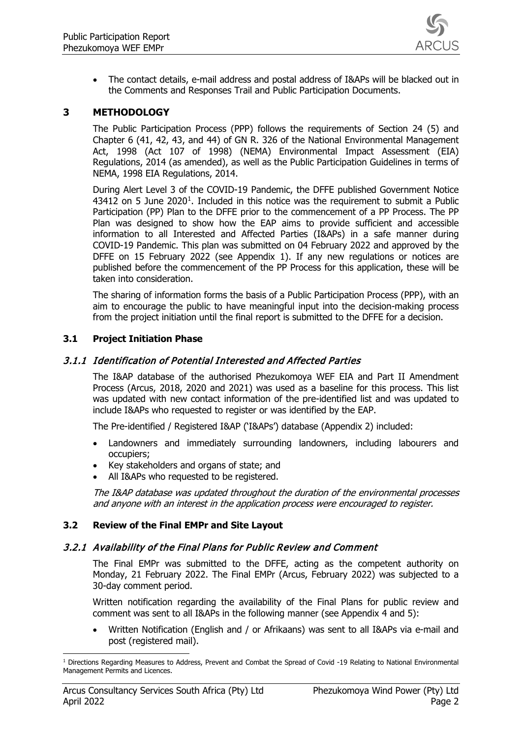

• The contact details, e-mail address and postal address of I&APs will be blacked out in the Comments and Responses Trail and Public Participation Documents.

#### <span id="page-4-0"></span>**3 METHODOLOGY**

The Public Participation Process (PPP) follows the requirements of Section 24 (5) and Chapter 6 (41, 42, 43, and 44) of GN R. 326 of the National Environmental Management Act, 1998 (Act 107 of 1998) (NEMA) Environmental Impact Assessment (EIA) Regulations, 2014 (as amended), as well as the Public Participation Guidelines in terms of NEMA, 1998 EIA Regulations, 2014.

During Alert Level 3 of the COVID-19 Pandemic, the DFFE published Government Notice 434[1](#page-4-5)2 on 5 June 2020<sup>1</sup>. Included in this notice was the requirement to submit a Public Participation (PP) Plan to the DFFE prior to the commencement of a PP Process. The PP Plan was designed to show how the EAP aims to provide sufficient and accessible information to all Interested and Affected Parties (I&APs) in a safe manner during COVID-19 Pandemic. This plan was submitted on 04 February 2022 and approved by the DFFE on 15 February 2022 (see Appendix 1). If any new regulations or notices are published before the commencement of the PP Process for this application, these will be taken into consideration.

The sharing of information forms the basis of a Public Participation Process (PPP), with an aim to encourage the public to have meaningful input into the decision-making process from the project initiation until the final report is submitted to the DFFE for a decision.

#### <span id="page-4-1"></span>**3.1 Project Initiation Phase**

#### <span id="page-4-2"></span>3.1.1 Identification of Potential Interested and Affected Parties

The I&AP database of the authorised Phezukomoya WEF EIA and Part II Amendment Process (Arcus, 2018, 2020 and 2021) was used as a baseline for this process. This list was updated with new contact information of the pre-identified list and was updated to include I&APs who requested to register or was identified by the EAP.

The Pre-identified / Registered I&AP ('I&APs') database (Appendix 2) included:

- Landowners and immediately surrounding landowners, including labourers and occupiers;
- Key stakeholders and organs of state; and
- All I&APs who requested to be registered.

The I&AP database was updated throughout the duration of the environmental processes and anyone with an interest in the application process were encouraged to register.

#### <span id="page-4-3"></span>**3.2 Review of the Final EMPr and Site Layout**

#### <span id="page-4-4"></span>3.2.1 Availability of the Final Plans for Public Review and Comment

The Final EMPr was submitted to the DFFE, acting as the competent authority on Monday, 21 February 2022. The Final EMPr (Arcus, February 2022) was subjected to a 30-day comment period.

Written notification regarding the availability of the Final Plans for public review and comment was sent to all I&APs in the following manner (see Appendix 4 and 5):

• Written Notification (English and / or Afrikaans) was sent to all I&APs via e-mail and post (registered mail).

<span id="page-4-5"></span><sup>&</sup>lt;sup>1</sup> Directions Regarding Measures to Address, Prevent and Combat the Spread of Covid -19 Relating to National Environmental Management Permits and Licences.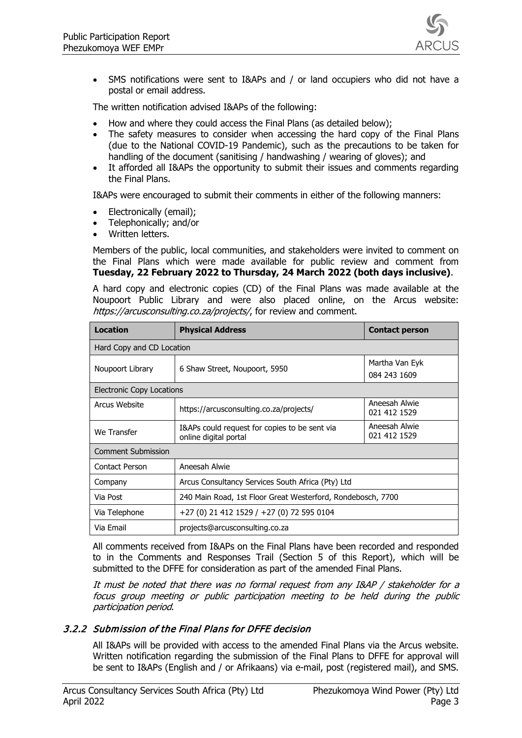

• SMS notifications were sent to I&APs and / or land occupiers who did not have a postal or email address.

The written notification advised I&APs of the following:

- How and where they could access the Final Plans (as detailed below);
- The safety measures to consider when accessing the hard copy of the Final Plans (due to the National COVID-19 Pandemic), such as the precautions to be taken for handling of the document (sanitising / handwashing / wearing of gloves); and
- It afforded all I&APs the opportunity to submit their issues and comments regarding the Final Plans.

I&APs were encouraged to submit their comments in either of the following manners:

- Electronically (email);
- Telephonically; and/or
- Written letters.

Members of the public, local communities, and stakeholders were invited to comment on the Final Plans which were made available for public review and comment from **Tuesday, 22 February 2022 to Thursday, 24 March 2022 (both days inclusive)**.

A hard copy and electronic copies (CD) of the Final Plans was made available at the Noupoort Public Library and were also placed online, on the Arcus website: https://arcusconsulting.co.za/projects/, for review and comment.

| <b>Location</b>                  | <b>Physical Address</b>                                                | <b>Contact person</b>          |  |  |  |
|----------------------------------|------------------------------------------------------------------------|--------------------------------|--|--|--|
| Hard Copy and CD Location        |                                                                        |                                |  |  |  |
| Noupoort Library                 | 6 Shaw Street, Noupoort, 5950                                          | Martha Van Eyk<br>084 243 1609 |  |  |  |
| <b>Electronic Copy Locations</b> |                                                                        |                                |  |  |  |
| Arcus Website                    | https://arcusconsulting.co.za/projects/                                | Aneesah Alwie<br>021 412 1529  |  |  |  |
| We Transfer                      | I&APs could request for copies to be sent via<br>online digital portal | Aneesah Alwie<br>021 412 1529  |  |  |  |
| <b>Comment Submission</b>        |                                                                        |                                |  |  |  |
| Contact Person                   | Aneesah Alwie                                                          |                                |  |  |  |
| Company                          | Arcus Consultancy Services South Africa (Pty) Ltd                      |                                |  |  |  |
| Via Post                         | 240 Main Road, 1st Floor Great Westerford, Rondebosch, 7700            |                                |  |  |  |
| Via Telephone                    | +27 (0) 21 412 1529 / +27 (0) 72 595 0104                              |                                |  |  |  |
| Via Email                        | projects@arcusconsulting.co.za                                         |                                |  |  |  |

All comments received from I&APs on the Final Plans have been recorded and responded to in the Comments and Responses Trail (Section 5 of this Report), which will be submitted to the DFFE for consideration as part of the amended Final Plans.

It must be noted that there was no formal request from any I&AP / stakeholder for a focus group meeting or public participation meeting to be held during the public participation period.

#### <span id="page-5-0"></span>3.2.2 Submission of the Final Plans for DFFE decision

All I&APs will be provided with access to the amended Final Plans via the Arcus website. Written notification regarding the submission of the Final Plans to DFFE for approval will be sent to I&APs (English and / or Afrikaans) via e-mail, post (registered mail), and SMS.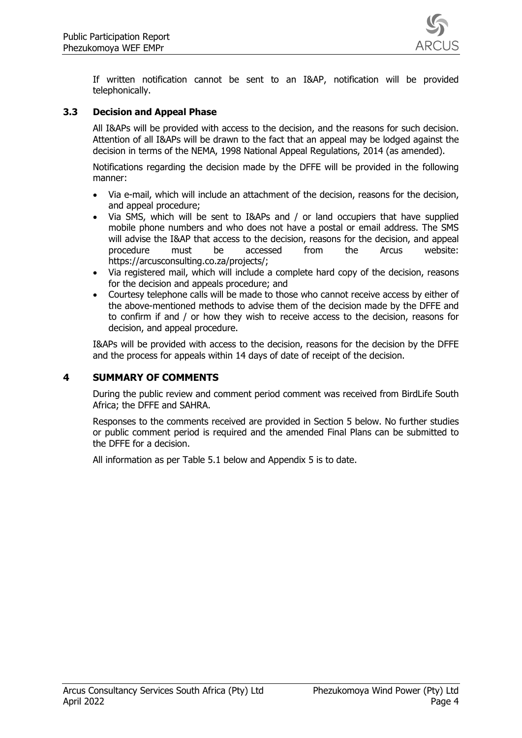

If written notification cannot be sent to an I&AP, notification will be provided telephonically.

#### <span id="page-6-0"></span>**3.3 Decision and Appeal Phase**

All I&APs will be provided with access to the decision, and the reasons for such decision. Attention of all I&APs will be drawn to the fact that an appeal may be lodged against the decision in terms of the NEMA, 1998 National Appeal Regulations, 2014 (as amended).

Notifications regarding the decision made by the DFFE will be provided in the following manner:

- Via e-mail, which will include an attachment of the decision, reasons for the decision, and appeal procedure;
- Via SMS, which will be sent to I&APs and / or land occupiers that have supplied mobile phone numbers and who does not have a postal or email address. The SMS will advise the I&AP that access to the decision, reasons for the decision, and appeal procedure must be accessed from the Arcus website: https://arcusconsulting.co.za/projects/;
- Via registered mail, which will include a complete hard copy of the decision, reasons for the decision and appeals procedure; and
- Courtesy telephone calls will be made to those who cannot receive access by either of the above-mentioned methods to advise them of the decision made by the DFFE and to confirm if and / or how they wish to receive access to the decision, reasons for decision, and appeal procedure.

I&APs will be provided with access to the decision, reasons for the decision by the DFFE and the process for appeals within 14 days of date of receipt of the decision.

#### <span id="page-6-1"></span>**4 SUMMARY OF COMMENTS**

During the public review and comment period comment was received from BirdLife South Africa; the DFFE and SAHRA.

Responses to the comments received are provided in Section 5 below. No further studies or public comment period is required and the amended Final Plans can be submitted to the DFFE for a decision.

All information as per Table 5.1 below and Appendix 5 is to date.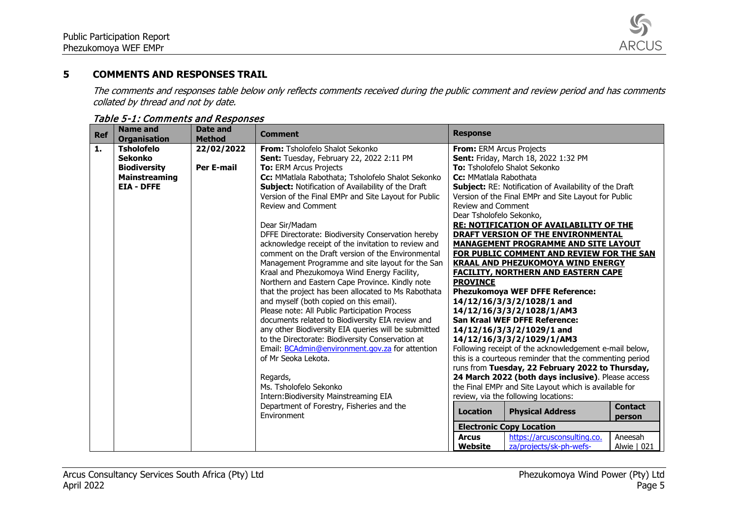

#### **5 COMMENTS AND RESPONSES TRAIL**

The comments and responses table below only reflects comments received during the public comment and review period and has comments collated by thread and not by date.

<span id="page-7-0"></span>

| <b>Ref</b>     | <b>Name and</b><br><b>Organisation</b> | <b>Date and</b><br><b>Method</b> | <b>Comment</b>                                                                                      | <b>Response</b>           |                                                                                     |                |
|----------------|----------------------------------------|----------------------------------|-----------------------------------------------------------------------------------------------------|---------------------------|-------------------------------------------------------------------------------------|----------------|
| $\mathbf{1}$ . | <b>Tsholofelo</b>                      | 22/02/2022                       | From: Tsholofelo Shalot Sekonko                                                                     | From: ERM Arcus Projects  |                                                                                     |                |
|                | <b>Sekonko</b>                         |                                  | Sent: Tuesday, February 22, 2022 2:11 PM                                                            |                           | Sent: Friday, March 18, 2022 1:32 PM                                                |                |
|                | <b>Biodiversity</b>                    | <b>Per E-mail</b>                | <b>To: ERM Arcus Projects</b>                                                                       |                           | To: Tsholofelo Shalot Sekonko                                                       |                |
|                | <b>Mainstreaming</b>                   |                                  | Cc: MMatlala Rabothata; Tsholofelo Shalot Sekonko                                                   | Cc: MMatlala Rabothata    |                                                                                     |                |
|                | <b>EIA - DFFE</b>                      |                                  | Subject: Notification of Availability of the Draft                                                  |                           | Subject: RE: Notification of Availability of the Draft                              |                |
|                |                                        |                                  | Version of the Final EMPr and Site Layout for Public                                                |                           | Version of the Final EMPr and Site Layout for Public                                |                |
|                |                                        |                                  | Review and Comment                                                                                  | <b>Review and Comment</b> |                                                                                     |                |
|                |                                        |                                  |                                                                                                     | Dear Tsholofelo Sekonko,  |                                                                                     |                |
|                |                                        |                                  | Dear Sir/Madam                                                                                      |                           | <b>RE: NOTIFICATION OF AVAILABILITY OF THE</b>                                      |                |
|                |                                        |                                  | DFFE Directorate: Biodiversity Conservation hereby                                                  |                           | DRAFT VERSION OF THE ENVIRONMENTAL                                                  |                |
|                |                                        |                                  | acknowledge receipt of the invitation to review and                                                 |                           | <b>MANAGEMENT PROGRAMME AND SITE LAYOUT</b>                                         |                |
|                |                                        |                                  | comment on the Draft version of the Environmental                                                   |                           | FOR PUBLIC COMMENT AND REVIEW FOR THE SAN                                           |                |
|                |                                        |                                  | Management Programme and site layout for the San                                                    |                           | <b>KRAAL AND PHEZUKOMOYA WIND ENERGY</b>                                            |                |
|                |                                        |                                  | Kraal and Phezukomoya Wind Energy Facility,                                                         |                           | <b>FACILITY, NORTHERN AND EASTERN CAPE</b>                                          |                |
|                |                                        |                                  | Northern and Eastern Cape Province. Kindly note                                                     | <b>PROVINCE</b>           |                                                                                     |                |
|                |                                        |                                  | that the project has been allocated to Ms Rabothata                                                 |                           | <b>Phezukomoya WEF DFFE Reference:</b>                                              |                |
|                |                                        |                                  | and myself (both copied on this email).                                                             |                           | 14/12/16/3/3/2/1028/1 and                                                           |                |
|                |                                        |                                  | Please note: All Public Participation Process                                                       |                           | 14/12/16/3/3/2/1028/1/AM3                                                           |                |
|                |                                        |                                  | documents related to Biodiversity EIA review and                                                    |                           | <b>San Kraal WEF DFFE Reference:</b>                                                |                |
|                |                                        |                                  | any other Biodiversity EIA queries will be submitted                                                |                           | 14/12/16/3/3/2/1029/1 and                                                           |                |
|                |                                        |                                  | to the Directorate: Biodiversity Conservation at<br>Email: BCAdmin@environment.gov.za for attention |                           | 14/12/16/3/3/2/1029/1/AM3<br>Following receipt of the acknowledgement e-mail below, |                |
|                |                                        |                                  | of Mr Seoka Lekota.                                                                                 |                           | this is a courteous reminder that the commenting period                             |                |
|                |                                        |                                  |                                                                                                     |                           | runs from Tuesday, 22 February 2022 to Thursday,                                    |                |
|                |                                        |                                  | Regards,                                                                                            |                           | 24 March 2022 (both days inclusive). Please access                                  |                |
|                |                                        |                                  | Ms. Tsholofelo Sekonko                                                                              |                           | the Final EMPr and Site Layout which is available for                               |                |
|                |                                        |                                  | Intern: Biodiversity Mainstreaming EIA                                                              |                           | review, via the following locations:                                                |                |
|                |                                        |                                  | Department of Forestry, Fisheries and the                                                           |                           |                                                                                     | <b>Contact</b> |
|                |                                        |                                  | Environment                                                                                         | <b>Location</b>           | <b>Physical Address</b>                                                             | person         |
|                |                                        |                                  |                                                                                                     |                           | <b>Electronic Copy Location</b>                                                     |                |
|                |                                        |                                  |                                                                                                     | <b>Arcus</b>              | https://arcusconsulting.co.                                                         | Aneesah        |
|                |                                        |                                  |                                                                                                     | Website                   | za/projects/sk-ph-wefs-                                                             | Alwie   021    |

#### Table 5-1: Comments and Responses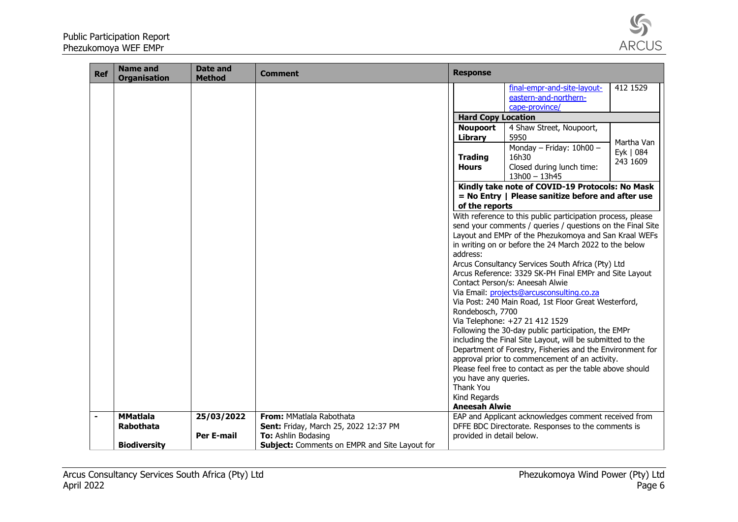

| <b>Ref</b>     | <b>Name and</b><br><b>Organisation</b> | <b>Date and</b><br><b>Method</b> | Comment                                              | <b>Response</b>                    |                                                                                                                                                                                                                                                                                                   |                                     |
|----------------|----------------------------------------|----------------------------------|------------------------------------------------------|------------------------------------|---------------------------------------------------------------------------------------------------------------------------------------------------------------------------------------------------------------------------------------------------------------------------------------------------|-------------------------------------|
|                |                                        |                                  |                                                      |                                    | final-empr-and-site-layout-                                                                                                                                                                                                                                                                       | 412 1529                            |
|                |                                        |                                  |                                                      |                                    | eastern-and-northern-<br>cape-province/                                                                                                                                                                                                                                                           |                                     |
|                |                                        |                                  |                                                      | <b>Hard Copy Location</b>          |                                                                                                                                                                                                                                                                                                   |                                     |
|                |                                        |                                  |                                                      | <b>Noupoort</b>                    | 4 Shaw Street, Noupoort,                                                                                                                                                                                                                                                                          |                                     |
|                |                                        |                                  |                                                      | Library                            | 5950                                                                                                                                                                                                                                                                                              |                                     |
|                |                                        |                                  |                                                      | <b>Trading</b><br><b>Hours</b>     | Monday - Friday: 10h00 -<br>16h30<br>Closed during lunch time:<br>$13h00 - 13h45$                                                                                                                                                                                                                 | Martha Van<br>Eyk   084<br>243 1609 |
|                |                                        |                                  |                                                      | of the reports                     | Kindly take note of COVID-19 Protocols: No Mask<br>= No Entry   Please sanitize before and after use                                                                                                                                                                                              |                                     |
|                |                                        |                                  |                                                      | address:                           | With reference to this public participation process, please<br>send your comments / queries / questions on the Final Site<br>Layout and EMPr of the Phezukomoya and San Kraal WEFs<br>in writing on or before the 24 March 2022 to the below<br>Arcus Consultancy Services South Africa (Pty) Ltd |                                     |
|                |                                        |                                  |                                                      |                                    | Arcus Reference: 3329 SK-PH Final EMPr and Site Layout<br>Contact Person/s: Aneesah Alwie<br>Via Email: projects@arcusconsulting.co.za                                                                                                                                                            |                                     |
|                |                                        |                                  |                                                      |                                    | Via Post: 240 Main Road, 1st Floor Great Westerford,                                                                                                                                                                                                                                              |                                     |
|                |                                        |                                  |                                                      | Rondebosch, 7700                   |                                                                                                                                                                                                                                                                                                   |                                     |
|                |                                        |                                  |                                                      |                                    | Via Telephone: +27 21 412 1529<br>Following the 30-day public participation, the EMPr                                                                                                                                                                                                             |                                     |
|                |                                        |                                  |                                                      |                                    | including the Final Site Layout, will be submitted to the                                                                                                                                                                                                                                         |                                     |
|                |                                        |                                  |                                                      |                                    | Department of Forestry, Fisheries and the Environment for                                                                                                                                                                                                                                         |                                     |
|                |                                        |                                  |                                                      |                                    | approval prior to commencement of an activity.                                                                                                                                                                                                                                                    |                                     |
|                |                                        |                                  |                                                      |                                    | Please feel free to contact as per the table above should                                                                                                                                                                                                                                         |                                     |
|                |                                        |                                  |                                                      | you have any queries.<br>Thank You |                                                                                                                                                                                                                                                                                                   |                                     |
|                |                                        |                                  |                                                      | Kind Regards                       |                                                                                                                                                                                                                                                                                                   |                                     |
|                |                                        |                                  |                                                      | <b>Aneesah Alwie</b>               |                                                                                                                                                                                                                                                                                                   |                                     |
| $\blacksquare$ | <b>MMatlala</b>                        | 25/03/2022                       | From: MMatlala Rabothata                             |                                    | EAP and Applicant acknowledges comment received from                                                                                                                                                                                                                                              |                                     |
|                | Rabothata                              |                                  | Sent: Friday, March 25, 2022 12:37 PM                |                                    | DFFE BDC Directorate. Responses to the comments is                                                                                                                                                                                                                                                |                                     |
|                |                                        | <b>Per E-mail</b>                | To: Ashlin Bodasing                                  | provided in detail below.          |                                                                                                                                                                                                                                                                                                   |                                     |
|                | <b>Biodiversity</b>                    |                                  | <b>Subject:</b> Comments on EMPR and Site Layout for |                                    |                                                                                                                                                                                                                                                                                                   |                                     |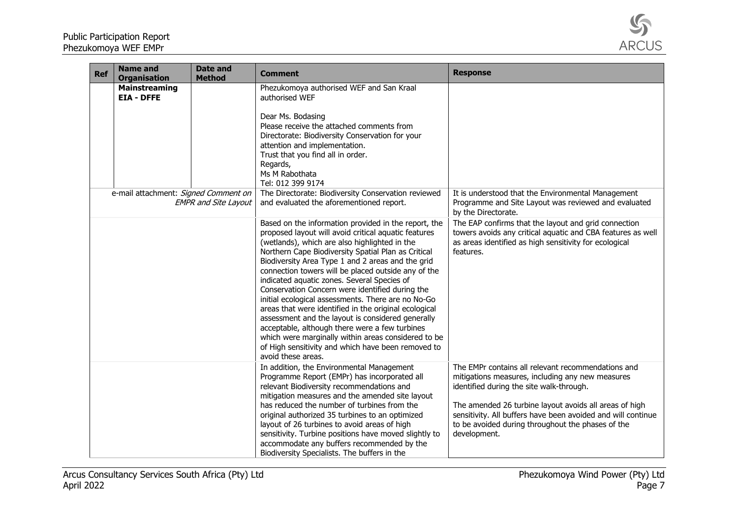

| <b>Ref</b> | <b>Name and</b><br><b>Organisation</b>    | <b>Date and</b><br><b>Method</b> | Comment                                                                                                                                                                                                                                                                                                                                                                                                                                                                                                                                                                                                                                                                                                                                                                                     | <b>Response</b>                                                                                                                                                                                                                                                                                                                                   |
|------------|-------------------------------------------|----------------------------------|---------------------------------------------------------------------------------------------------------------------------------------------------------------------------------------------------------------------------------------------------------------------------------------------------------------------------------------------------------------------------------------------------------------------------------------------------------------------------------------------------------------------------------------------------------------------------------------------------------------------------------------------------------------------------------------------------------------------------------------------------------------------------------------------|---------------------------------------------------------------------------------------------------------------------------------------------------------------------------------------------------------------------------------------------------------------------------------------------------------------------------------------------------|
|            | <b>Mainstreaming</b><br><b>EIA - DFFE</b> |                                  | Phezukomoya authorised WEF and San Kraal<br>authorised WEF<br>Dear Ms. Bodasing<br>Please receive the attached comments from<br>Directorate: Biodiversity Conservation for your<br>attention and implementation.<br>Trust that you find all in order.<br>Regards,<br>Ms M Rabothata<br>Tel: 012 399 9174                                                                                                                                                                                                                                                                                                                                                                                                                                                                                    |                                                                                                                                                                                                                                                                                                                                                   |
|            | e-mail attachment: Signed Comment on      | <b>EMPR and Site Layout</b>      | The Directorate: Biodiversity Conservation reviewed<br>and evaluated the aforementioned report.                                                                                                                                                                                                                                                                                                                                                                                                                                                                                                                                                                                                                                                                                             | It is understood that the Environmental Management<br>Programme and Site Layout was reviewed and evaluated<br>by the Directorate.                                                                                                                                                                                                                 |
|            |                                           |                                  | Based on the information provided in the report, the<br>proposed layout will avoid critical aquatic features<br>(wetlands), which are also highlighted in the<br>Northern Cape Biodiversity Spatial Plan as Critical<br>Biodiversity Area Type 1 and 2 areas and the grid<br>connection towers will be placed outside any of the<br>indicated aquatic zones. Several Species of<br>Conservation Concern were identified during the<br>initial ecological assessments. There are no No-Go<br>areas that were identified in the original ecological<br>assessment and the layout is considered generally<br>acceptable, although there were a few turbines<br>which were marginally within areas considered to be<br>of High sensitivity and which have been removed to<br>avoid these areas. | The EAP confirms that the layout and grid connection<br>towers avoids any critical aquatic and CBA features as well<br>as areas identified as high sensitivity for ecological<br>features.                                                                                                                                                        |
|            |                                           |                                  | In addition, the Environmental Management<br>Programme Report (EMPr) has incorporated all<br>relevant Biodiversity recommendations and<br>mitigation measures and the amended site layout<br>has reduced the number of turbines from the<br>original authorized 35 turbines to an optimized<br>layout of 26 turbines to avoid areas of high<br>sensitivity. Turbine positions have moved slightly to<br>accommodate any buffers recommended by the<br>Biodiversity Specialists. The buffers in the                                                                                                                                                                                                                                                                                          | The EMPr contains all relevant recommendations and<br>mitigations measures, including any new measures<br>identified during the site walk-through.<br>The amended 26 turbine layout avoids all areas of high<br>sensitivity. All buffers have been avoided and will continue<br>to be avoided during throughout the phases of the<br>development. |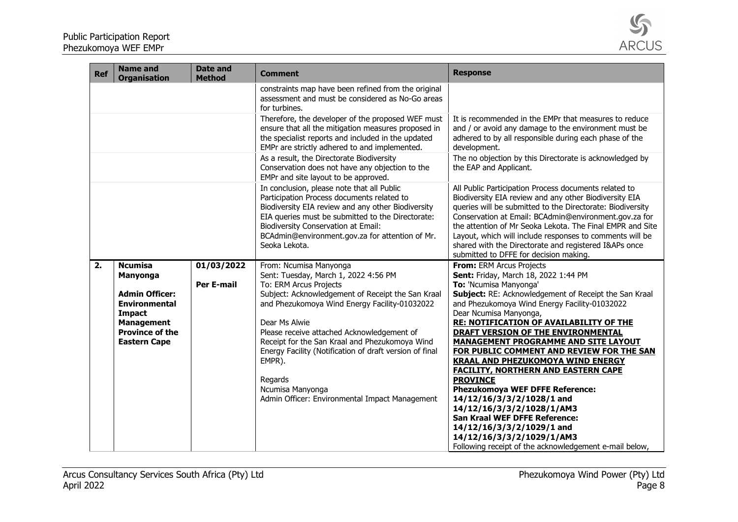

| <b>Ref</b> | <b>Name and</b><br><b>Organisation</b>                                                                                                                                    | <b>Date and</b><br><b>Method</b> | <b>Comment</b>                                                                                                                                                                                                                                                                                                                                                                                                                                                        | <b>Response</b>                                                                                                                                                                                                                                                                                                                                                                                                                                                                                                                                                                                                                                                                                          |
|------------|---------------------------------------------------------------------------------------------------------------------------------------------------------------------------|----------------------------------|-----------------------------------------------------------------------------------------------------------------------------------------------------------------------------------------------------------------------------------------------------------------------------------------------------------------------------------------------------------------------------------------------------------------------------------------------------------------------|----------------------------------------------------------------------------------------------------------------------------------------------------------------------------------------------------------------------------------------------------------------------------------------------------------------------------------------------------------------------------------------------------------------------------------------------------------------------------------------------------------------------------------------------------------------------------------------------------------------------------------------------------------------------------------------------------------|
|            |                                                                                                                                                                           |                                  | constraints map have been refined from the original<br>assessment and must be considered as No-Go areas<br>for turbines.                                                                                                                                                                                                                                                                                                                                              |                                                                                                                                                                                                                                                                                                                                                                                                                                                                                                                                                                                                                                                                                                          |
|            |                                                                                                                                                                           |                                  | Therefore, the developer of the proposed WEF must<br>ensure that all the mitigation measures proposed in<br>the specialist reports and included in the updated<br>EMPr are strictly adhered to and implemented.                                                                                                                                                                                                                                                       | It is recommended in the EMPr that measures to reduce<br>and / or avoid any damage to the environment must be<br>adhered to by all responsible during each phase of the<br>development.                                                                                                                                                                                                                                                                                                                                                                                                                                                                                                                  |
|            |                                                                                                                                                                           |                                  | As a result, the Directorate Biodiversity<br>Conservation does not have any objection to the<br>EMPr and site layout to be approved.                                                                                                                                                                                                                                                                                                                                  | The no objection by this Directorate is acknowledged by<br>the EAP and Applicant.                                                                                                                                                                                                                                                                                                                                                                                                                                                                                                                                                                                                                        |
|            |                                                                                                                                                                           |                                  | In conclusion, please note that all Public<br>Participation Process documents related to<br>Biodiversity EIA review and any other Biodiversity<br>EIA queries must be submitted to the Directorate:<br><b>Biodiversity Conservation at Email:</b><br>BCAdmin@environment.gov.za for attention of Mr.<br>Seoka Lekota.                                                                                                                                                 | All Public Participation Process documents related to<br>Biodiversity EIA review and any other Biodiversity EIA<br>queries will be submitted to the Directorate: Biodiversity<br>Conservation at Email: BCAdmin@environment.gov.za for<br>the attention of Mr Seoka Lekota. The Final EMPR and Site<br>Layout, which will include responses to comments will be<br>shared with the Directorate and registered I&APs once<br>submitted to DFFE for decision making.                                                                                                                                                                                                                                       |
| 2.         | <b>Ncumisa</b><br><b>Manyonga</b><br><b>Admin Officer:</b><br><b>Environmental</b><br><b>Impact</b><br><b>Management</b><br><b>Province of the</b><br><b>Eastern Cape</b> | 01/03/2022<br><b>Per E-mail</b>  | From: Ncumisa Manyonga<br>Sent: Tuesday, March 1, 2022 4:56 PM<br>To: ERM Arcus Projects<br>Subject: Acknowledgement of Receipt the San Kraal<br>and Phezukomoya Wind Energy Facility-01032022<br>Dear Ms Alwie<br>Please receive attached Acknowledgement of<br>Receipt for the San Kraal and Phezukomoya Wind<br>Energy Facility (Notification of draft version of final<br>EMPR).<br>Regards<br>Ncumisa Manyonga<br>Admin Officer: Environmental Impact Management | From: ERM Arcus Projects<br>Sent: Friday, March 18, 2022 1:44 PM<br>To: 'Ncumisa Manyonga'<br>Subject: RE: Acknowledgement of Receipt the San Kraal<br>and Phezukomoya Wind Energy Facility-01032022<br>Dear Ncumisa Manyonga,<br><b>RE: NOTIFICATION OF AVAILABILITY OF THE</b><br>DRAFT VERSION OF THE ENVIRONMENTAL<br><b>MANAGEMENT PROGRAMME AND SITE LAYOUT</b><br>FOR PUBLIC COMMENT AND REVIEW FOR THE SAN<br><b>KRAAL AND PHEZUKOMOYA WIND ENERGY</b><br><b>FACILITY, NORTHERN AND EASTERN CAPE</b><br><b>PROVINCE</b><br><b>Phezukomoya WEF DFFE Reference:</b><br>14/12/16/3/3/2/1028/1 and<br>14/12/16/3/3/2/1028/1/AM3<br><b>San Kraal WEF DFFE Reference:</b><br>14/12/16/3/3/2/1029/1 and |
|            |                                                                                                                                                                           |                                  |                                                                                                                                                                                                                                                                                                                                                                                                                                                                       | 14/12/16/3/3/2/1029/1/AM3<br>Following receipt of the acknowledgement e-mail below,                                                                                                                                                                                                                                                                                                                                                                                                                                                                                                                                                                                                                      |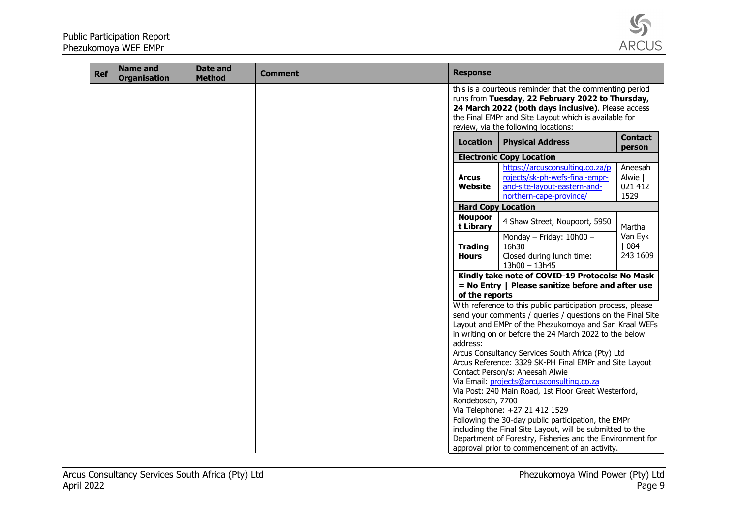

| <b>Ref</b> | <b>Name and</b><br><b>Organisation</b> | <b>Date and</b><br><b>Method</b> | <b>Comment</b> | <b>Response</b>                |                                                                                                                                                                                                                                                                                                                                                                                                                                                                                                                                                                                                                                                                                                                                                                          |                                       |
|------------|----------------------------------------|----------------------------------|----------------|--------------------------------|--------------------------------------------------------------------------------------------------------------------------------------------------------------------------------------------------------------------------------------------------------------------------------------------------------------------------------------------------------------------------------------------------------------------------------------------------------------------------------------------------------------------------------------------------------------------------------------------------------------------------------------------------------------------------------------------------------------------------------------------------------------------------|---------------------------------------|
|            |                                        |                                  |                |                                | this is a courteous reminder that the commenting period<br>runs from Tuesday, 22 February 2022 to Thursday,<br>24 March 2022 (both days inclusive). Please access<br>the Final EMPr and Site Layout which is available for<br>review, via the following locations:                                                                                                                                                                                                                                                                                                                                                                                                                                                                                                       |                                       |
|            |                                        |                                  |                | <b>Location</b>                | <b>Physical Address</b>                                                                                                                                                                                                                                                                                                                                                                                                                                                                                                                                                                                                                                                                                                                                                  | <b>Contact</b><br>person              |
|            |                                        |                                  |                |                                | <b>Electronic Copy Location</b>                                                                                                                                                                                                                                                                                                                                                                                                                                                                                                                                                                                                                                                                                                                                          |                                       |
|            |                                        |                                  |                | <b>Arcus</b><br>Website        | https://arcusconsulting.co.za/p<br>rojects/sk-ph-wefs-final-empr-<br>and-site-layout-eastern-and-<br>northern-cape-province/                                                                                                                                                                                                                                                                                                                                                                                                                                                                                                                                                                                                                                             | Aneesah<br>Alwie  <br>021 412<br>1529 |
|            |                                        |                                  |                |                                | <b>Hard Copy Location</b>                                                                                                                                                                                                                                                                                                                                                                                                                                                                                                                                                                                                                                                                                                                                                |                                       |
|            |                                        |                                  |                | <b>Noupoor</b><br>t Library    | 4 Shaw Street, Noupoort, 5950                                                                                                                                                                                                                                                                                                                                                                                                                                                                                                                                                                                                                                                                                                                                            | Martha                                |
|            |                                        |                                  |                | <b>Trading</b><br><b>Hours</b> | Monday - Friday: 10h00 -<br>16h30<br>Closed during lunch time:<br>$13h00 - 13h45$                                                                                                                                                                                                                                                                                                                                                                                                                                                                                                                                                                                                                                                                                        | Van Eyk<br>$ 084\rangle$<br>243 1609  |
|            |                                        |                                  |                | of the reports                 | Kindly take note of COVID-19 Protocols: No Mask<br>$=$ No Entry   Please sanitize before and after use                                                                                                                                                                                                                                                                                                                                                                                                                                                                                                                                                                                                                                                                   |                                       |
|            |                                        |                                  |                | address:<br>Rondebosch, 7700   | With reference to this public participation process, please<br>send your comments / queries / questions on the Final Site<br>Layout and EMPr of the Phezukomoya and San Kraal WEFs<br>in writing on or before the 24 March 2022 to the below<br>Arcus Consultancy Services South Africa (Pty) Ltd<br>Arcus Reference: 3329 SK-PH Final EMPr and Site Layout<br>Contact Person/s: Aneesah Alwie<br>Via Email: projects@arcusconsulting.co.za<br>Via Post: 240 Main Road, 1st Floor Great Westerford,<br>Via Telephone: +27 21 412 1529<br>Following the 30-day public participation, the EMPr<br>including the Final Site Layout, will be submitted to the<br>Department of Forestry, Fisheries and the Environment for<br>approval prior to commencement of an activity. |                                       |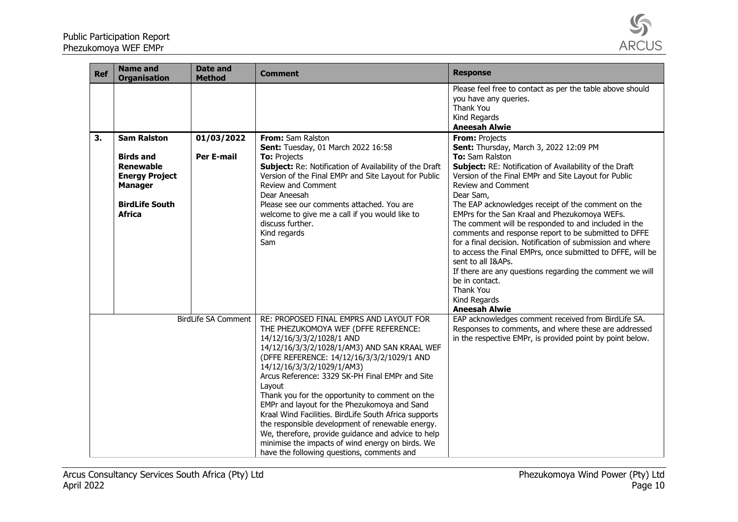

| <b>Ref</b>          | <b>Name and</b><br><b>Organisation</b>                                                                                                          | <b>Date and</b><br><b>Method</b> | <b>Comment</b>                                                                                                                                                                                                                                                                                                                                                                                                                                                                                                                                                                                                                                                                | <b>Response</b>                                                                                                                                                                                                                                                                                                                                                                                                                                                                                                                                                                                                                                                                                                                              |
|---------------------|-------------------------------------------------------------------------------------------------------------------------------------------------|----------------------------------|-------------------------------------------------------------------------------------------------------------------------------------------------------------------------------------------------------------------------------------------------------------------------------------------------------------------------------------------------------------------------------------------------------------------------------------------------------------------------------------------------------------------------------------------------------------------------------------------------------------------------------------------------------------------------------|----------------------------------------------------------------------------------------------------------------------------------------------------------------------------------------------------------------------------------------------------------------------------------------------------------------------------------------------------------------------------------------------------------------------------------------------------------------------------------------------------------------------------------------------------------------------------------------------------------------------------------------------------------------------------------------------------------------------------------------------|
|                     |                                                                                                                                                 |                                  |                                                                                                                                                                                                                                                                                                                                                                                                                                                                                                                                                                                                                                                                               | Please feel free to contact as per the table above should<br>you have any queries.<br>Thank You<br>Kind Regards<br><b>Aneesah Alwie</b>                                                                                                                                                                                                                                                                                                                                                                                                                                                                                                                                                                                                      |
| 3.                  | <b>Sam Ralston</b><br><b>Birds and</b><br><b>Renewable</b><br><b>Energy Project</b><br><b>Manager</b><br><b>BirdLife South</b><br><b>Africa</b> | 01/03/2022<br>Per E-mail         | From: Sam Ralston<br>Sent: Tuesday, 01 March 2022 16:58<br><b>To: Projects</b><br>Subject: Re: Notification of Availability of the Draft<br>Version of the Final EMPr and Site Layout for Public<br>Review and Comment<br>Dear Aneesah<br>Please see our comments attached. You are<br>welcome to give me a call if you would like to<br>discuss further.<br>Kind regards<br>Sam                                                                                                                                                                                                                                                                                              | From: Projects<br>Sent: Thursday, March 3, 2022 12:09 PM<br>To: Sam Ralston<br>Subject: RE: Notification of Availability of the Draft<br>Version of the Final EMPr and Site Layout for Public<br>Review and Comment<br>Dear Sam,<br>The EAP acknowledges receipt of the comment on the<br>EMPrs for the San Kraal and Phezukomoya WEFs.<br>The comment will be responded to and included in the<br>comments and response report to be submitted to DFFE<br>for a final decision. Notification of submission and where<br>to access the Final EMPrs, once submitted to DFFE, will be<br>sent to all I&APs.<br>If there are any questions regarding the comment we will<br>be in contact.<br>Thank You<br>Kind Regards<br><b>Aneesah Alwie</b> |
| BirdLife SA Comment |                                                                                                                                                 |                                  | RE: PROPOSED FINAL EMPRS AND LAYOUT FOR<br>THE PHEZUKOMOYA WEF (DFFE REFERENCE:<br>14/12/16/3/3/2/1028/1 AND<br>14/12/16/3/3/2/1028/1/AM3) AND SAN KRAAL WEF<br>(DFFE REFERENCE: 14/12/16/3/3/2/1029/1 AND<br>14/12/16/3/3/2/1029/1/AM3)<br>Arcus Reference: 3329 SK-PH Final EMPr and Site<br>Layout<br>Thank you for the opportunity to comment on the<br>EMPr and layout for the Phezukomoya and Sand<br>Kraal Wind Facilities. BirdLife South Africa supports<br>the responsible development of renewable energy.<br>We, therefore, provide guidance and advice to help<br>minimise the impacts of wind energy on birds. We<br>have the following questions, comments and | EAP acknowledges comment received from BirdLife SA.<br>Responses to comments, and where these are addressed<br>in the respective EMPr, is provided point by point below.                                                                                                                                                                                                                                                                                                                                                                                                                                                                                                                                                                     |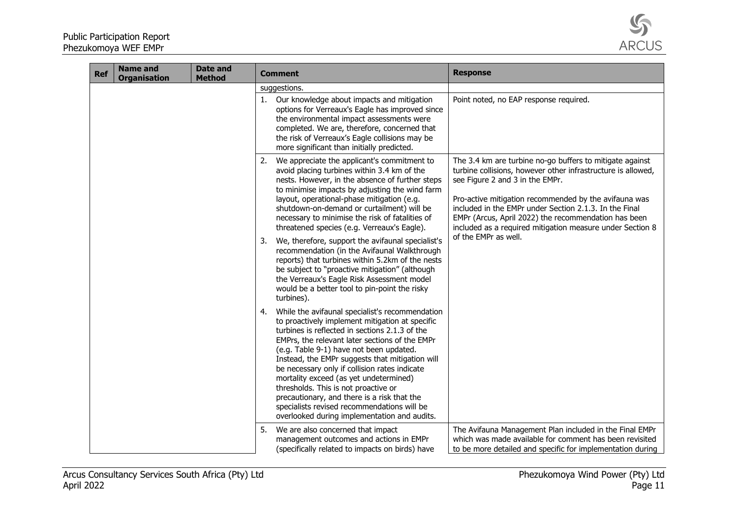

| <b>Ref</b> | <b>Name and</b><br><b>Organisation</b> | <b>Date and</b><br><b>Method</b> | <b>Comment</b>                                                                                                                                                                                                                                                                                                                                                                                                                                                                                                                                                                                                                                                                                                                    | <b>Response</b>                                                                                                                                                                                                                                                                                                                                                                                                             |
|------------|----------------------------------------|----------------------------------|-----------------------------------------------------------------------------------------------------------------------------------------------------------------------------------------------------------------------------------------------------------------------------------------------------------------------------------------------------------------------------------------------------------------------------------------------------------------------------------------------------------------------------------------------------------------------------------------------------------------------------------------------------------------------------------------------------------------------------------|-----------------------------------------------------------------------------------------------------------------------------------------------------------------------------------------------------------------------------------------------------------------------------------------------------------------------------------------------------------------------------------------------------------------------------|
|            |                                        |                                  | suggestions.                                                                                                                                                                                                                                                                                                                                                                                                                                                                                                                                                                                                                                                                                                                      |                                                                                                                                                                                                                                                                                                                                                                                                                             |
|            |                                        |                                  | Our knowledge about impacts and mitigation<br>options for Verreaux's Eagle has improved since<br>the environmental impact assessments were<br>completed. We are, therefore, concerned that<br>the risk of Verreaux's Eagle collisions may be<br>more significant than initially predicted.                                                                                                                                                                                                                                                                                                                                                                                                                                        | Point noted, no EAP response required.                                                                                                                                                                                                                                                                                                                                                                                      |
|            |                                        |                                  | We appreciate the applicant's commitment to<br>2.<br>avoid placing turbines within 3.4 km of the<br>nests. However, in the absence of further steps<br>to minimise impacts by adjusting the wind farm<br>layout, operational-phase mitigation (e.g.<br>shutdown-on-demand or curtailment) will be<br>necessary to minimise the risk of fatalities of<br>threatened species (e.g. Verreaux's Eagle).<br>We, therefore, support the avifaunal specialist's<br>3.<br>recommendation (in the Avifaunal Walkthrough<br>reports) that turbines within 5.2km of the nests<br>be subject to "proactive mitigation" (although<br>the Verreaux's Eagle Risk Assessment model<br>would be a better tool to pin-point the risky<br>turbines). | The 3.4 km are turbine no-go buffers to mitigate against<br>turbine collisions, however other infrastructure is allowed,<br>see Figure 2 and 3 in the EMPr.<br>Pro-active mitigation recommended by the avifauna was<br>included in the EMPr under Section 2.1.3. In the Final<br>EMPr (Arcus, April 2022) the recommendation has been<br>included as a required mitigation measure under Section 8<br>of the EMPr as well. |
|            |                                        |                                  | While the avifaunal specialist's recommendation<br>4.<br>to proactively implement mitigation at specific<br>turbines is reflected in sections 2.1.3 of the<br>EMPrs, the relevant later sections of the EMPr<br>(e.g. Table 9-1) have not been updated.<br>Instead, the EMPr suggests that mitigation will<br>be necessary only if collision rates indicate<br>mortality exceed (as yet undetermined)<br>thresholds. This is not proactive or<br>precautionary, and there is a risk that the<br>specialists revised recommendations will be<br>overlooked during implementation and audits.                                                                                                                                       |                                                                                                                                                                                                                                                                                                                                                                                                                             |
|            |                                        |                                  | We are also concerned that impact<br>5.<br>management outcomes and actions in EMPr<br>(specifically related to impacts on birds) have                                                                                                                                                                                                                                                                                                                                                                                                                                                                                                                                                                                             | The Avifauna Management Plan included in the Final EMPr<br>which was made available for comment has been revisited<br>to be more detailed and specific for implementation during                                                                                                                                                                                                                                            |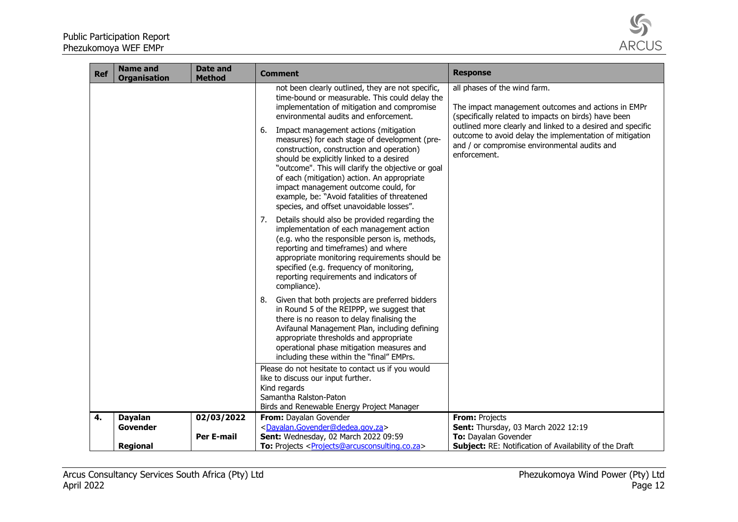

| The impact management outcomes and actions in EMPr<br>outlined more clearly and linked to a desired and specific<br>outcome to avoid delay the implementation of mitigation |
|-----------------------------------------------------------------------------------------------------------------------------------------------------------------------------|
|                                                                                                                                                                             |
|                                                                                                                                                                             |
|                                                                                                                                                                             |
|                                                                                                                                                                             |
|                                                                                                                                                                             |
|                                                                                                                                                                             |
|                                                                                                                                                                             |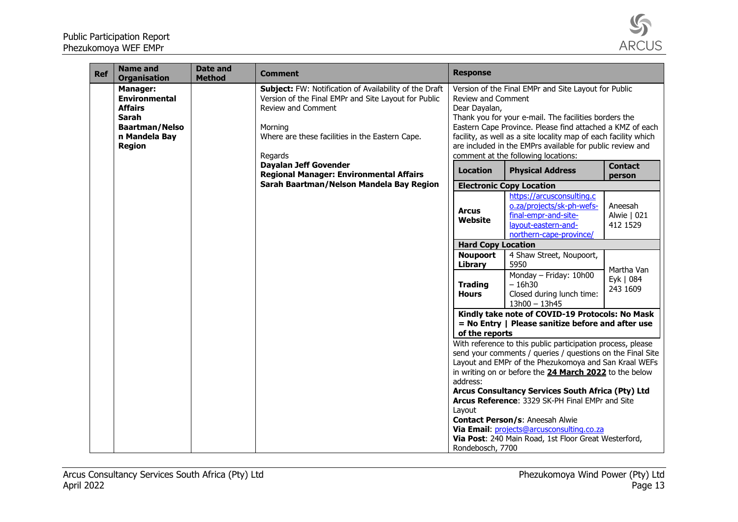| Ref | <b>Name and</b><br><b>Organisation</b>                                                                                               | Date and<br><b>Method</b> | <b>Comment</b>                                                                                                                                                                                                | <b>Response</b>                                                                                                                                                                                                                                                                                                                                                                                                                                                                            |
|-----|--------------------------------------------------------------------------------------------------------------------------------------|---------------------------|---------------------------------------------------------------------------------------------------------------------------------------------------------------------------------------------------------------|--------------------------------------------------------------------------------------------------------------------------------------------------------------------------------------------------------------------------------------------------------------------------------------------------------------------------------------------------------------------------------------------------------------------------------------------------------------------------------------------|
|     | <b>Manager:</b><br><b>Environmental</b><br><b>Affairs</b><br><b>Sarah</b><br><b>Baartman/Nelso</b><br>n Mandela Bay<br><b>Region</b> |                           | Subject: FW: Notification of Availability of the Draft<br>Version of the Final EMPr and Site Layout for Public<br>Review and Comment<br>Morning<br>Where are these facilities in the Eastern Cape.<br>Regards | Version of the Final EMPr and Site Layout for Public<br>Review and Comment<br>Dear Dayalan,<br>Thank you for your e-mail. The facilities borders the<br>Eastern Cape Province. Please find attached a KMZ of each<br>facility, as well as a site locality map of each facility which<br>are included in the EMPrs available for public review and<br>comment at the following locations:                                                                                                   |
|     |                                                                                                                                      |                           | <b>Dayalan Jeff Govender</b><br><b>Regional Manager: Environmental Affairs</b>                                                                                                                                | <b>Contact</b><br><b>Location</b><br><b>Physical Address</b><br>person                                                                                                                                                                                                                                                                                                                                                                                                                     |
|     |                                                                                                                                      |                           | Sarah Baartman/Nelson Mandela Bay Region                                                                                                                                                                      | <b>Electronic Copy Location</b>                                                                                                                                                                                                                                                                                                                                                                                                                                                            |
|     |                                                                                                                                      |                           |                                                                                                                                                                                                               | https://arcusconsulting.c<br>o.za/projects/sk-ph-wefs-<br>Aneesah<br><b>Arcus</b><br>final-empr-and-site-<br>Alwie   021<br>Website<br>layout-eastern-and-<br>412 1529<br>northern-cape-province/                                                                                                                                                                                                                                                                                          |
|     |                                                                                                                                      |                           |                                                                                                                                                                                                               | <b>Hard Copy Location</b>                                                                                                                                                                                                                                                                                                                                                                                                                                                                  |
|     |                                                                                                                                      |                           |                                                                                                                                                                                                               | 4 Shaw Street, Noupoort,<br><b>Noupoort</b><br>Library<br>5950                                                                                                                                                                                                                                                                                                                                                                                                                             |
|     |                                                                                                                                      |                           |                                                                                                                                                                                                               | Martha Van<br>Monday - Friday: 10h00<br>Eyk   084<br>$-16h30$<br><b>Trading</b><br>243 1609<br><b>Hours</b><br>Closed during lunch time:<br>$13h00 - 13h45$                                                                                                                                                                                                                                                                                                                                |
|     |                                                                                                                                      |                           |                                                                                                                                                                                                               | Kindly take note of COVID-19 Protocols: No Mask<br>= No Entry   Please sanitize before and after use<br>of the reports<br>With reference to this public participation process, please<br>send your comments / queries / questions on the Final Site<br>Layout and EMPr of the Phezukomoya and San Kraal WEFs<br>in writing on or before the 24 March 2022 to the below<br>address:<br>Arcus Consultancy Services South Africa (Pty) Ltd<br>Arcus Reference: 3329 SK-PH Final EMPr and Site |
|     |                                                                                                                                      |                           |                                                                                                                                                                                                               | Layout<br><b>Contact Person/s: Aneesah Alwie</b><br>Via Email: projects@arcusconsulting.co.za<br>Via Post: 240 Main Road, 1st Floor Great Westerford,<br>Rondebosch, 7700                                                                                                                                                                                                                                                                                                                  |

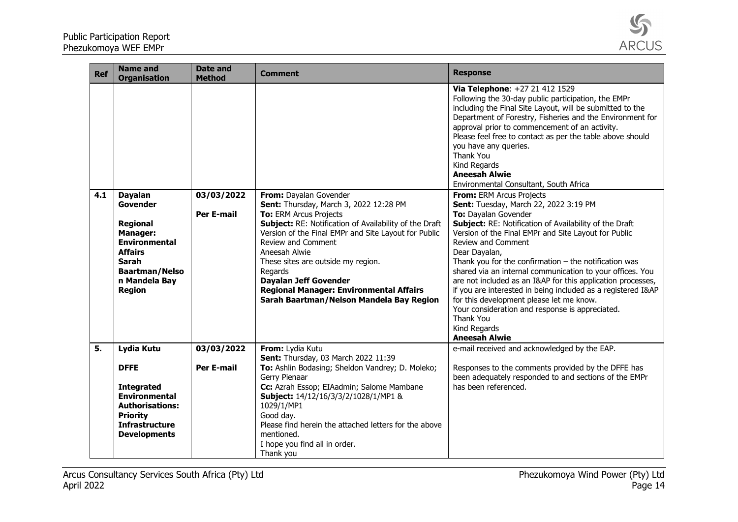

| <b>Ref</b> | <b>Name and</b><br><b>Organisation</b>                                                                                                                                         | <b>Date and</b><br><b>Method</b> | <b>Comment</b>                                                                                                                                                                                                                                                                                                                                                                                                                     | <b>Response</b>                                                                                                                                                                                                                                                                                                                                                                                                                                                                                                                                                                                                                                                                                                                                                                                                                                                                                                                                                                                                                                                                                               |
|------------|--------------------------------------------------------------------------------------------------------------------------------------------------------------------------------|----------------------------------|------------------------------------------------------------------------------------------------------------------------------------------------------------------------------------------------------------------------------------------------------------------------------------------------------------------------------------------------------------------------------------------------------------------------------------|---------------------------------------------------------------------------------------------------------------------------------------------------------------------------------------------------------------------------------------------------------------------------------------------------------------------------------------------------------------------------------------------------------------------------------------------------------------------------------------------------------------------------------------------------------------------------------------------------------------------------------------------------------------------------------------------------------------------------------------------------------------------------------------------------------------------------------------------------------------------------------------------------------------------------------------------------------------------------------------------------------------------------------------------------------------------------------------------------------------|
| 4.1        | <b>Dayalan</b><br>Govender<br><b>Regional</b><br><b>Manager:</b><br><b>Environmental</b><br><b>Affairs</b><br>Sarah<br><b>Baartman/Nelso</b><br>n Mandela Bay<br><b>Region</b> | 03/03/2022<br><b>Per E-mail</b>  | From: Dayalan Govender<br>Sent: Thursday, March 3, 2022 12:28 PM<br>To: ERM Arcus Projects<br>Subject: RE: Notification of Availability of the Draft<br>Version of the Final EMPr and Site Layout for Public<br>Review and Comment<br>Aneesah Alwie<br>These sites are outside my region.<br>Regards<br><b>Dayalan Jeff Govender</b><br><b>Regional Manager: Environmental Affairs</b><br>Sarah Baartman/Nelson Mandela Bay Region | Via Telephone: +27 21 412 1529<br>Following the 30-day public participation, the EMPr<br>including the Final Site Layout, will be submitted to the<br>Department of Forestry, Fisheries and the Environment for<br>approval prior to commencement of an activity.<br>Please feel free to contact as per the table above should<br>you have any queries.<br><b>Thank You</b><br>Kind Regards<br><b>Aneesah Alwie</b><br>Environmental Consultant, South Africa<br>From: ERM Arcus Projects<br>Sent: Tuesday, March 22, 2022 3:19 PM<br>To: Dayalan Govender<br>Subject: RE: Notification of Availability of the Draft<br>Version of the Final EMPr and Site Layout for Public<br><b>Review and Comment</b><br>Dear Dayalan,<br>Thank you for the confirmation $-$ the notification was<br>shared via an internal communication to your offices. You<br>are not included as an I&AP for this application processes,<br>if you are interested in being included as a registered I&AP<br>for this development please let me know.<br>Your consideration and response is appreciated.<br>Thank You<br>Kind Regards |
| 5.         | Lydia Kutu                                                                                                                                                                     | 03/03/2022                       | From: Lydia Kutu                                                                                                                                                                                                                                                                                                                                                                                                                   | <b>Aneesah Alwie</b><br>e-mail received and acknowledged by the EAP.                                                                                                                                                                                                                                                                                                                                                                                                                                                                                                                                                                                                                                                                                                                                                                                                                                                                                                                                                                                                                                          |
|            | <b>DFFE</b><br><b>Integrated</b><br><b>Environmental</b><br><b>Authorisations:</b><br><b>Priority</b><br><b>Infrastructure</b><br><b>Developments</b>                          | <b>Per E-mail</b>                | Sent: Thursday, 03 March 2022 11:39<br>To: Ashlin Bodasing; Sheldon Vandrey; D. Moleko;<br>Gerry Pienaar<br>Cc: Azrah Essop; EIAadmin; Salome Mambane<br>Subject: 14/12/16/3/3/2/1028/1/MP1 &<br>1029/1/MP1<br>Good day.<br>Please find herein the attached letters for the above<br>mentioned.<br>I hope you find all in order.                                                                                                   | Responses to the comments provided by the DFFE has<br>been adequately responded to and sections of the EMPr<br>has been referenced.                                                                                                                                                                                                                                                                                                                                                                                                                                                                                                                                                                                                                                                                                                                                                                                                                                                                                                                                                                           |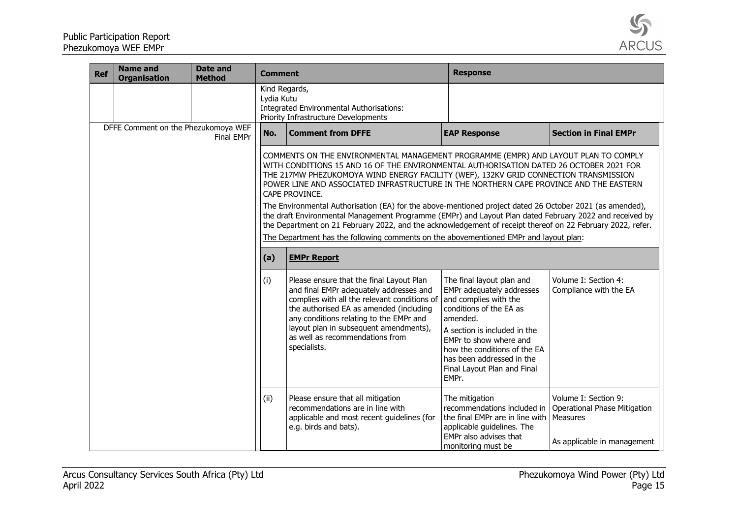

| <b>Ref</b> | <b>Name and</b><br><b>Organisation</b> | <b>Date and</b><br><b>Method</b> | <b>Comment</b>              |                                                                                                                                                                                                                                                                                                                                                                                                                                                                                                                                                                                                                                                                                                                                                                                                                 | <b>Response</b>                                                                                                                                                                                                                                                                       |                                                                                                 |
|------------|----------------------------------------|----------------------------------|-----------------------------|-----------------------------------------------------------------------------------------------------------------------------------------------------------------------------------------------------------------------------------------------------------------------------------------------------------------------------------------------------------------------------------------------------------------------------------------------------------------------------------------------------------------------------------------------------------------------------------------------------------------------------------------------------------------------------------------------------------------------------------------------------------------------------------------------------------------|---------------------------------------------------------------------------------------------------------------------------------------------------------------------------------------------------------------------------------------------------------------------------------------|-------------------------------------------------------------------------------------------------|
|            |                                        |                                  | Kind Regards,<br>Lydia Kutu | Integrated Environmental Authorisations:<br>Priority Infrastructure Developments                                                                                                                                                                                                                                                                                                                                                                                                                                                                                                                                                                                                                                                                                                                                |                                                                                                                                                                                                                                                                                       |                                                                                                 |
|            | DFFE Comment on the Phezukomoya WEF    | Final EMPr                       | No.                         | <b>Comment from DFFE</b>                                                                                                                                                                                                                                                                                                                                                                                                                                                                                                                                                                                                                                                                                                                                                                                        | <b>EAP Response</b>                                                                                                                                                                                                                                                                   | <b>Section in Final EMPr</b>                                                                    |
|            |                                        |                                  |                             | COMMENTS ON THE ENVIRONMENTAL MANAGEMENT PROGRAMME (EMPR) AND LAYOUT PLAN TO COMPLY<br>WITH CONDITIONS 15 AND 16 OF THE ENVIRONMENTAL AUTHORISATION DATED 26 OCTOBER 2021 FOR<br>THE 217MW PHEZUKOMOYA WIND ENERGY FACILITY (WEF), 132KV GRID CONNECTION TRANSMISSION<br>POWER LINE AND ASSOCIATED INFRASTRUCTURE IN THE NORTHERN CAPE PROVINCE AND THE EASTERN<br>CAPE PROVINCE.<br>The Environmental Authorisation (EA) for the above-mentioned project dated 26 October 2021 (as amended),<br>the draft Environmental Management Programme (EMPr) and Layout Plan dated February 2022 and received by<br>the Department on 21 February 2022, and the acknowledgement of receipt thereof on 22 February 2022, refer.<br>The Department has the following comments on the abovementioned EMPr and layout plan: |                                                                                                                                                                                                                                                                                       |                                                                                                 |
|            |                                        |                                  | (a)                         | <b>EMPr Report</b>                                                                                                                                                                                                                                                                                                                                                                                                                                                                                                                                                                                                                                                                                                                                                                                              |                                                                                                                                                                                                                                                                                       |                                                                                                 |
|            |                                        |                                  | (i)                         | Please ensure that the final Layout Plan<br>and final EMPr adequately addresses and<br>complies with all the relevant conditions of<br>the authorised EA as amended (including<br>any conditions relating to the EMPr and<br>layout plan in subsequent amendments),<br>as well as recommendations from<br>specialists.                                                                                                                                                                                                                                                                                                                                                                                                                                                                                          | The final layout plan and<br>EMPr adequately addresses<br>and complies with the<br>conditions of the EA as<br>amended.<br>A section is included in the<br>EMPr to show where and<br>how the conditions of the EA<br>has been addressed in the<br>Final Layout Plan and Final<br>EMPr. | Volume I: Section 4:<br>Compliance with the EA                                                  |
|            |                                        |                                  | (ii)                        | Please ensure that all mitigation<br>recommendations are in line with<br>applicable and most recent guidelines (for<br>e.g. birds and bats).                                                                                                                                                                                                                                                                                                                                                                                                                                                                                                                                                                                                                                                                    | The mitigation<br>recommendations included in<br>the final EMPr are in line with<br>applicable guidelines. The<br>EMPr also advises that<br>monitoring must be                                                                                                                        | Volume I: Section 9:<br>Operational Phase Mitigation<br>Measures<br>As applicable in management |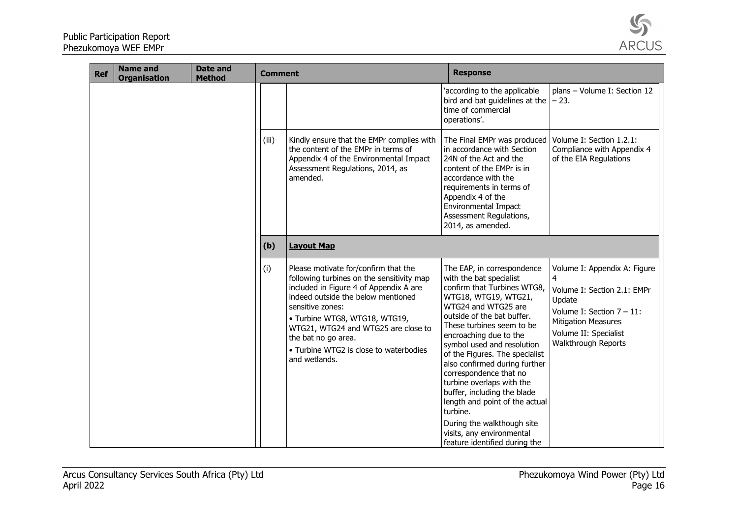

| <b>Ref</b> | <b>Name and</b><br><b>Organisation</b> | <b>Date and</b><br><b>Method</b> | <b>Comment</b> |                                                                                                                                                                                                                                                                                                                                                 | <b>Response</b>                                                                                                                                                                                                                                                                                                                                                                                                                                                                                                                                           |                                                                                                                                                                                          |
|------------|----------------------------------------|----------------------------------|----------------|-------------------------------------------------------------------------------------------------------------------------------------------------------------------------------------------------------------------------------------------------------------------------------------------------------------------------------------------------|-----------------------------------------------------------------------------------------------------------------------------------------------------------------------------------------------------------------------------------------------------------------------------------------------------------------------------------------------------------------------------------------------------------------------------------------------------------------------------------------------------------------------------------------------------------|------------------------------------------------------------------------------------------------------------------------------------------------------------------------------------------|
|            |                                        |                                  |                |                                                                                                                                                                                                                                                                                                                                                 | 'according to the applicable<br>bird and bat guidelines at the<br>time of commercial<br>operations'.                                                                                                                                                                                                                                                                                                                                                                                                                                                      | plans - Volume I: Section 12<br>– 23.                                                                                                                                                    |
|            |                                        |                                  | (iii)          | Kindly ensure that the EMPr complies with<br>the content of the EMPr in terms of<br>Appendix 4 of the Environmental Impact<br>Assessment Regulations, 2014, as<br>amended.                                                                                                                                                                      | The Final EMPr was produced<br>in accordance with Section<br>24N of the Act and the<br>content of the EMPr is in<br>accordance with the<br>requirements in terms of<br>Appendix 4 of the<br>Environmental Impact<br>Assessment Regulations,<br>2014, as amended.                                                                                                                                                                                                                                                                                          | Volume I: Section 1.2.1:<br>Compliance with Appendix 4<br>of the EIA Regulations                                                                                                         |
|            |                                        |                                  | (b)            | <b>Layout Map</b>                                                                                                                                                                                                                                                                                                                               |                                                                                                                                                                                                                                                                                                                                                                                                                                                                                                                                                           |                                                                                                                                                                                          |
|            |                                        |                                  | (i)            | Please motivate for/confirm that the<br>following turbines on the sensitivity map<br>included in Figure 4 of Appendix A are<br>indeed outside the below mentioned<br>sensitive zones:<br>· Turbine WTG8, WTG18, WTG19,<br>WTG21, WTG24 and WTG25 are close to<br>the bat no go area.<br>• Turbine WTG2 is close to waterbodies<br>and wetlands. | The EAP, in correspondence<br>with the bat specialist<br>confirm that Turbines WTG8,<br>WTG18, WTG19, WTG21,<br>WTG24 and WTG25 are<br>outside of the bat buffer.<br>These turbines seem to be<br>encroaching due to the<br>symbol used and resolution<br>of the Figures. The specialist<br>also confirmed during further<br>correspondence that no<br>turbine overlaps with the<br>buffer, including the blade<br>length and point of the actual<br>turbine.<br>During the walkthough site<br>visits, any environmental<br>feature identified during the | Volume I: Appendix A: Figure<br>4<br>Volume I: Section 2.1: EMPr<br>Update<br>Volume I: Section $7 - 11$ :<br><b>Mitigation Measures</b><br>Volume II: Specialist<br>Walkthrough Reports |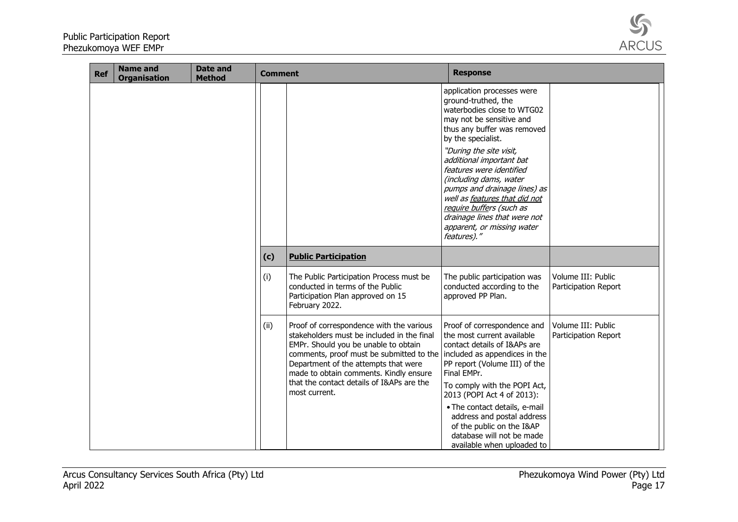

| application processes were<br>ground-truthed, the<br>waterbodies close to WTG02<br>may not be sensitive and<br>thus any buffer was removed<br>by the specialist.<br>"During the site visit,<br>additional important bat<br>features were identified<br>(including dams, water<br>pumps and drainage lines) as<br>well as features that did not<br>require buffers (such as<br>drainage lines that were not<br>apparent, or missing water                                                                                                                                                                                                                                                             |                                            |
|------------------------------------------------------------------------------------------------------------------------------------------------------------------------------------------------------------------------------------------------------------------------------------------------------------------------------------------------------------------------------------------------------------------------------------------------------------------------------------------------------------------------------------------------------------------------------------------------------------------------------------------------------------------------------------------------------|--------------------------------------------|
| features)."                                                                                                                                                                                                                                                                                                                                                                                                                                                                                                                                                                                                                                                                                          |                                            |
| <b>Public Participation</b><br>(c)                                                                                                                                                                                                                                                                                                                                                                                                                                                                                                                                                                                                                                                                   |                                            |
| (i)<br>The Public Participation Process must be<br>The public participation was<br>conducted in terms of the Public<br>conducted according to the<br>Participation Plan approved on 15<br>approved PP Plan.<br>February 2022.                                                                                                                                                                                                                                                                                                                                                                                                                                                                        | Volume III: Public<br>Participation Report |
| (ii)<br>Proof of correspondence with the various<br>Proof of correspondence and<br>stakeholders must be included in the final<br>the most current available<br>EMPr. Should you be unable to obtain<br>contact details of I&APs are<br>comments, proof must be submitted to the included as appendices in the<br>Department of the attempts that were<br>PP report (Volume III) of the<br>Final EMPr.<br>made to obtain comments. Kindly ensure<br>that the contact details of I&APs are the<br>To comply with the POPI Act,<br>most current.<br>2013 (POPI Act 4 of 2013):<br>• The contact details, e-mail<br>address and postal address<br>of the public on the I&AP<br>database will not be made | Volume III: Public<br>Participation Report |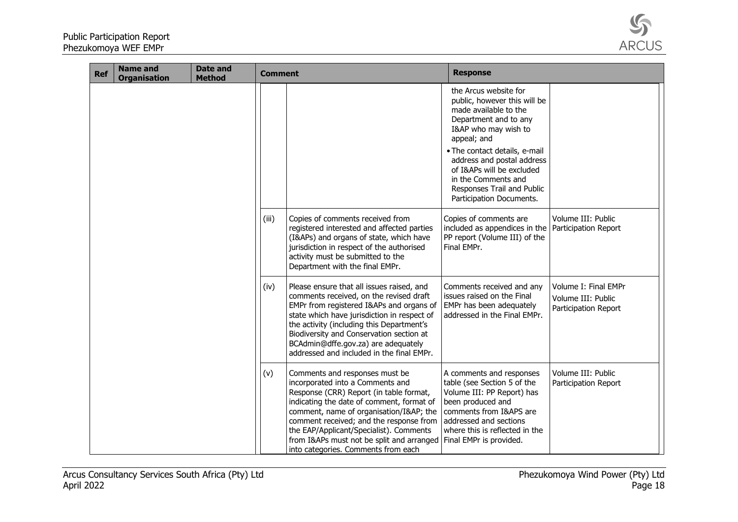

| <b>Ref</b> | <b>Name and</b><br><b>Organisation</b> | <b>Date and</b><br><b>Method</b> | <b>Comment</b> |                                                                                                                                                                                                                                                                                                                                                                                                      | <b>Response</b>                                                                                                                                                                                                                                                                                                             |                                                                    |
|------------|----------------------------------------|----------------------------------|----------------|------------------------------------------------------------------------------------------------------------------------------------------------------------------------------------------------------------------------------------------------------------------------------------------------------------------------------------------------------------------------------------------------------|-----------------------------------------------------------------------------------------------------------------------------------------------------------------------------------------------------------------------------------------------------------------------------------------------------------------------------|--------------------------------------------------------------------|
|            |                                        |                                  |                |                                                                                                                                                                                                                                                                                                                                                                                                      | the Arcus website for<br>public, however this will be<br>made available to the<br>Department and to any<br>I&AP who may wish to<br>appeal; and<br>. The contact details, e-mail<br>address and postal address<br>of I&APs will be excluded<br>in the Comments and<br>Responses Trail and Public<br>Participation Documents. |                                                                    |
|            |                                        |                                  | (iii)          | Copies of comments received from<br>registered interested and affected parties<br>(I&APs) and organs of state, which have<br>jurisdiction in respect of the authorised<br>activity must be submitted to the<br>Department with the final EMPr.                                                                                                                                                       | Copies of comments are<br>included as appendices in the   Participation Report<br>PP report (Volume III) of the<br>Final EMPr.                                                                                                                                                                                              | Volume III: Public                                                 |
|            |                                        |                                  | (iv)           | Please ensure that all issues raised, and<br>comments received, on the revised draft<br>EMPr from registered I&APs and organs of<br>state which have jurisdiction in respect of<br>the activity (including this Department's<br>Biodiversity and Conservation section at<br>BCAdmin@dffe.gov.za) are adequately<br>addressed and included in the final EMPr.                                         | Comments received and any<br>issues raised on the Final<br>EMPr has been adequately<br>addressed in the Final EMPr.                                                                                                                                                                                                         | Volume I: Final EMPr<br>Volume III: Public<br>Participation Report |
|            |                                        |                                  | (v)            | Comments and responses must be<br>incorporated into a Comments and<br>Response (CRR) Report (in table format,<br>indicating the date of comment, format of<br>comment, name of organisation/I≈ the<br>comment received; and the response from<br>the EAP/Applicant/Specialist). Comments<br>from I&APs must not be split and arranged Final EMPr is provided.<br>into categories. Comments from each | A comments and responses<br>table (see Section 5 of the<br>Volume III: PP Report) has<br>been produced and<br>comments from I&APS are<br>addressed and sections<br>where this is reflected in the                                                                                                                           | Volume III: Public<br>Participation Report                         |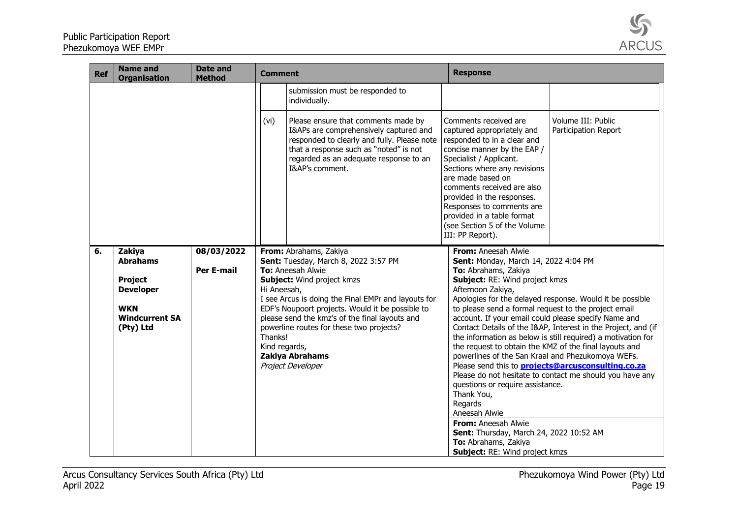

| <b>Ref</b> | <b>Name and</b><br><b>Organisation</b> | <b>Date and</b><br><b>Method</b> | <b>Comment</b> |                                                                                                                                                                                                                                     | <b>Response</b>                                                                                                                                                                                                                                                                                                                                                              |                                                                                                                       |
|------------|----------------------------------------|----------------------------------|----------------|-------------------------------------------------------------------------------------------------------------------------------------------------------------------------------------------------------------------------------------|------------------------------------------------------------------------------------------------------------------------------------------------------------------------------------------------------------------------------------------------------------------------------------------------------------------------------------------------------------------------------|-----------------------------------------------------------------------------------------------------------------------|
|            |                                        |                                  |                | submission must be responded to<br>individually.                                                                                                                                                                                    |                                                                                                                                                                                                                                                                                                                                                                              |                                                                                                                       |
|            |                                        |                                  | (vi)           | Please ensure that comments made by<br>I&APs are comprehensively captured and<br>responded to clearly and fully. Please note<br>that a response such as "noted" is not<br>regarded as an adequate response to an<br>I&AP's comment. | Comments received are<br>captured appropriately and<br>responded to in a clear and<br>concise manner by the EAP /<br>Specialist / Applicant.<br>Sections where any revisions<br>are made based on<br>comments received are also<br>provided in the responses.<br>Responses to comments are<br>provided in a table format<br>(see Section 5 of the Volume<br>III: PP Report). | Volume III: Public<br>Participation Report                                                                            |
| 6.         | Zakiya<br><b>Abrahams</b>              | 08/03/2022                       |                | From: Abrahams, Zakiya<br>Sent: Tuesday, March 8, 2022 3:57 PM                                                                                                                                                                      | From: Aneesah Alwie<br>Sent: Monday, March 14, 2022 4:04 PM                                                                                                                                                                                                                                                                                                                  |                                                                                                                       |
|            |                                        | <b>Per E-mail</b>                |                | <b>To:</b> Aneesah Alwie                                                                                                                                                                                                            | To: Abrahams, Zakiya                                                                                                                                                                                                                                                                                                                                                         |                                                                                                                       |
|            | <b>Project</b>                         |                                  |                | Subject: Wind project kmzs                                                                                                                                                                                                          | Subject: RE: Wind project kmzs                                                                                                                                                                                                                                                                                                                                               |                                                                                                                       |
|            | <b>Developer</b>                       |                                  | Hi Aneesah,    |                                                                                                                                                                                                                                     | Afternoon Zakiya,                                                                                                                                                                                                                                                                                                                                                            |                                                                                                                       |
|            |                                        |                                  |                | I see Arcus is doing the Final EMPr and layouts for                                                                                                                                                                                 |                                                                                                                                                                                                                                                                                                                                                                              | Apologies for the delayed response. Would it be possible                                                              |
|            | <b>WKN</b><br><b>Windcurrent SA</b>    |                                  |                | EDF's Noupoort projects. Would it be possible to<br>please send the kmz's of the final layouts and                                                                                                                                  | to please send a formal request to the project email<br>account. If your email could please specify Name and                                                                                                                                                                                                                                                                 |                                                                                                                       |
|            | (Pty) Ltd                              |                                  |                | powerline routes for these two projects?                                                                                                                                                                                            |                                                                                                                                                                                                                                                                                                                                                                              | Contact Details of the I&AP, Interest in the Project, and (if                                                         |
|            |                                        |                                  | Thanks!        |                                                                                                                                                                                                                                     |                                                                                                                                                                                                                                                                                                                                                                              | the information as below is still required) a motivation for                                                          |
|            |                                        |                                  | Kind regards,  |                                                                                                                                                                                                                                     | the request to obtain the KMZ of the final layouts and                                                                                                                                                                                                                                                                                                                       |                                                                                                                       |
|            |                                        |                                  |                | Zakiya Abrahams                                                                                                                                                                                                                     | powerlines of the San Kraal and Phezukomoya WEFs.                                                                                                                                                                                                                                                                                                                            |                                                                                                                       |
|            |                                        |                                  |                | Project Developer                                                                                                                                                                                                                   |                                                                                                                                                                                                                                                                                                                                                                              | Please send this to <b>projects@arcusconsulting.co.za</b><br>Please do not hesitate to contact me should you have any |
|            |                                        |                                  |                |                                                                                                                                                                                                                                     | questions or require assistance.                                                                                                                                                                                                                                                                                                                                             |                                                                                                                       |
|            |                                        |                                  |                |                                                                                                                                                                                                                                     | Thank You,                                                                                                                                                                                                                                                                                                                                                                   |                                                                                                                       |
|            |                                        |                                  |                |                                                                                                                                                                                                                                     | Regards                                                                                                                                                                                                                                                                                                                                                                      |                                                                                                                       |
|            |                                        |                                  |                |                                                                                                                                                                                                                                     | Aneesah Alwie                                                                                                                                                                                                                                                                                                                                                                |                                                                                                                       |
|            |                                        |                                  |                |                                                                                                                                                                                                                                     | From: Aneesah Alwie                                                                                                                                                                                                                                                                                                                                                          |                                                                                                                       |
|            |                                        |                                  |                |                                                                                                                                                                                                                                     | Sent: Thursday, March 24, 2022 10:52 AM<br>To: Abrahams, Zakiya                                                                                                                                                                                                                                                                                                              |                                                                                                                       |
|            |                                        |                                  |                |                                                                                                                                                                                                                                     | Subject: RE: Wind project kmzs                                                                                                                                                                                                                                                                                                                                               |                                                                                                                       |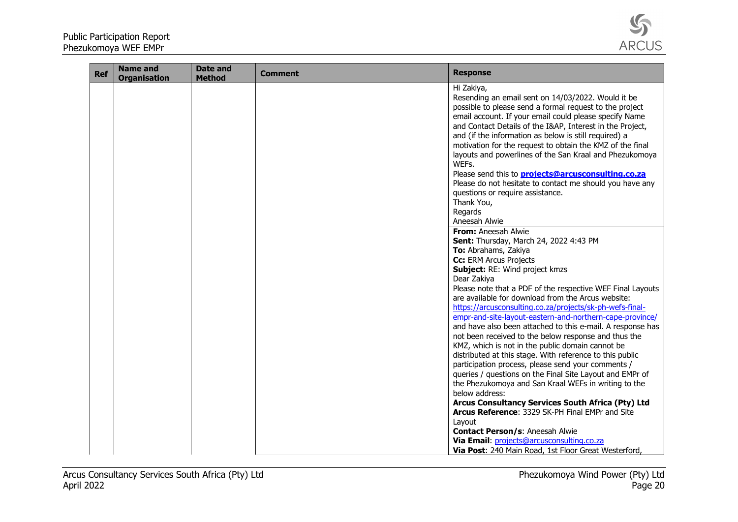

| <b>Ref</b> | <b>Name and</b><br><b>Organisation</b> | <b>Date and</b><br><b>Method</b> | <b>Comment</b> | <b>Response</b>                                                                                                                                                                                                                                                                                                                                                                                                                                                                                                                                                                                                                                                                                                                                                                                                                                                                                                                                                                                                                                                                                                                                                                                                                                                                                                                                                                                                                                                                                                                                                                                                                                                                                                |
|------------|----------------------------------------|----------------------------------|----------------|----------------------------------------------------------------------------------------------------------------------------------------------------------------------------------------------------------------------------------------------------------------------------------------------------------------------------------------------------------------------------------------------------------------------------------------------------------------------------------------------------------------------------------------------------------------------------------------------------------------------------------------------------------------------------------------------------------------------------------------------------------------------------------------------------------------------------------------------------------------------------------------------------------------------------------------------------------------------------------------------------------------------------------------------------------------------------------------------------------------------------------------------------------------------------------------------------------------------------------------------------------------------------------------------------------------------------------------------------------------------------------------------------------------------------------------------------------------------------------------------------------------------------------------------------------------------------------------------------------------------------------------------------------------------------------------------------------------|
|            |                                        |                                  |                | Hi Zakiya,<br>Resending an email sent on 14/03/2022. Would it be<br>possible to please send a formal request to the project<br>email account. If your email could please specify Name<br>and Contact Details of the I&AP, Interest in the Project,<br>and (if the information as below is still required) a<br>motivation for the request to obtain the KMZ of the final<br>layouts and powerlines of the San Kraal and Phezukomoya<br>WEFs.<br>Please send this to <b>projects@arcusconsulting.co.za</b><br>Please do not hesitate to contact me should you have any<br>questions or require assistance.<br>Thank You,<br>Regards<br>Aneesah Alwie<br>From: Aneesah Alwie<br>Sent: Thursday, March 24, 2022 4:43 PM<br>To: Abrahams, Zakiya<br>Cc: ERM Arcus Projects<br>Subject: RE: Wind project kmzs<br>Dear Zakiya<br>Please note that a PDF of the respective WEF Final Layouts<br>are available for download from the Arcus website:<br>https://arcusconsulting.co.za/projects/sk-ph-wefs-final-<br>empr-and-site-layout-eastern-and-northern-cape-province/<br>and have also been attached to this e-mail. A response has<br>not been received to the below response and thus the<br>KMZ, which is not in the public domain cannot be<br>distributed at this stage. With reference to this public<br>participation process, please send your comments /<br>queries / questions on the Final Site Layout and EMPr of<br>the Phezukomoya and San Kraal WEFs in writing to the<br>below address:<br>Arcus Consultancy Services South Africa (Pty) Ltd<br>Arcus Reference: 3329 SK-PH Final EMPr and Site<br>Layout<br><b>Contact Person/s: Aneesah Alwie</b><br>Via Email: projects@arcusconsulting.co.za |
|            |                                        |                                  |                | Via Post: 240 Main Road, 1st Floor Great Westerford,                                                                                                                                                                                                                                                                                                                                                                                                                                                                                                                                                                                                                                                                                                                                                                                                                                                                                                                                                                                                                                                                                                                                                                                                                                                                                                                                                                                                                                                                                                                                                                                                                                                           |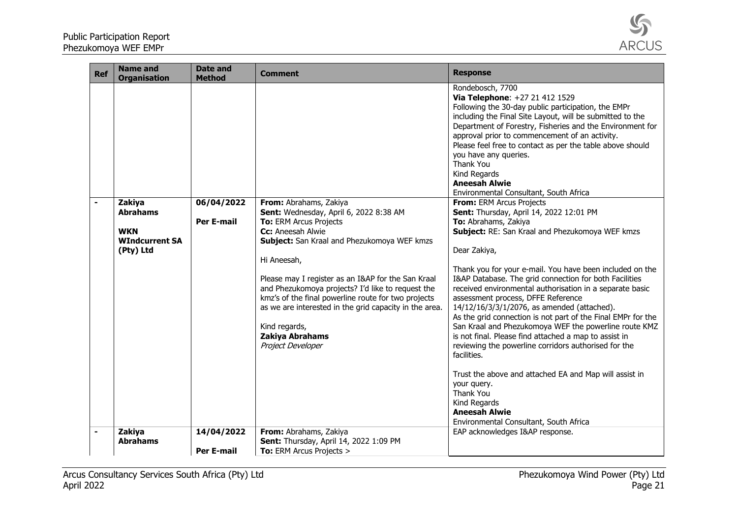

| <b>Ref</b>     | <b>Name and</b><br><b>Organisation</b>                                        | <b>Date and</b><br><b>Method</b> | <b>Comment</b>                                                                                                                                                                                                                                                                                                                                                                                                                                                     | <b>Response</b>                                                                                                                                                                                                                                                                                                                                                                                                                                                                                                                                                                                                                                                                                                                                                                                                                                                                                                                                                                                                                                                                                                                                                                                                                                                                                                                                      |
|----------------|-------------------------------------------------------------------------------|----------------------------------|--------------------------------------------------------------------------------------------------------------------------------------------------------------------------------------------------------------------------------------------------------------------------------------------------------------------------------------------------------------------------------------------------------------------------------------------------------------------|------------------------------------------------------------------------------------------------------------------------------------------------------------------------------------------------------------------------------------------------------------------------------------------------------------------------------------------------------------------------------------------------------------------------------------------------------------------------------------------------------------------------------------------------------------------------------------------------------------------------------------------------------------------------------------------------------------------------------------------------------------------------------------------------------------------------------------------------------------------------------------------------------------------------------------------------------------------------------------------------------------------------------------------------------------------------------------------------------------------------------------------------------------------------------------------------------------------------------------------------------------------------------------------------------------------------------------------------------|
| $\blacksquare$ | Zakiya<br><b>Abrahams</b><br><b>WKN</b><br><b>WIndcurrent SA</b><br>(Pty) Ltd | 06/04/2022<br><b>Per E-mail</b>  | From: Abrahams, Zakiya<br>Sent: Wednesday, April 6, 2022 8:38 AM<br>To: ERM Arcus Projects<br>Cc: Aneesah Alwie<br>Subject: San Kraal and Phezukomoya WEF kmzs<br>Hi Aneesah,<br>Please may I register as an I&AP for the San Kraal<br>and Phezukomoya projects? I'd like to request the<br>kmz's of the final powerline route for two projects<br>as we are interested in the grid capacity in the area.<br>Kind regards,<br>Zakiya Abrahams<br>Project Developer | Rondebosch, 7700<br>Via Telephone: +27 21 412 1529<br>Following the 30-day public participation, the EMPr<br>including the Final Site Layout, will be submitted to the<br>Department of Forestry, Fisheries and the Environment for<br>approval prior to commencement of an activity.<br>Please feel free to contact as per the table above should<br>you have any queries.<br>Thank You<br>Kind Regards<br><b>Aneesah Alwie</b><br>Environmental Consultant, South Africa<br>From: ERM Arcus Projects<br>Sent: Thursday, April 14, 2022 12:01 PM<br>To: Abrahams, Zakiya<br>Subject: RE: San Kraal and Phezukomoya WEF kmzs<br>Dear Zakiya,<br>Thank you for your e-mail. You have been included on the<br>I&AP Database. The grid connection for both Facilities<br>received environmental authorisation in a separate basic<br>assessment process, DFFE Reference<br>14/12/16/3/3/1/2076, as amended (attached).<br>As the grid connection is not part of the Final EMPr for the<br>San Kraal and Phezukomoya WEF the powerline route KMZ<br>is not final. Please find attached a map to assist in<br>reviewing the powerline corridors authorised for the<br>facilities.<br>Trust the above and attached EA and Map will assist in<br>your query.<br>Thank You<br>Kind Regards<br><b>Aneesah Alwie</b><br>Environmental Consultant, South Africa |
|                | Zakiya<br><b>Abrahams</b>                                                     | 14/04/2022<br><b>Per E-mail</b>  | From: Abrahams, Zakiya<br>Sent: Thursday, April 14, 2022 1:09 PM<br><b>To:</b> ERM Arcus Projects >                                                                                                                                                                                                                                                                                                                                                                | EAP acknowledges I&AP response.                                                                                                                                                                                                                                                                                                                                                                                                                                                                                                                                                                                                                                                                                                                                                                                                                                                                                                                                                                                                                                                                                                                                                                                                                                                                                                                      |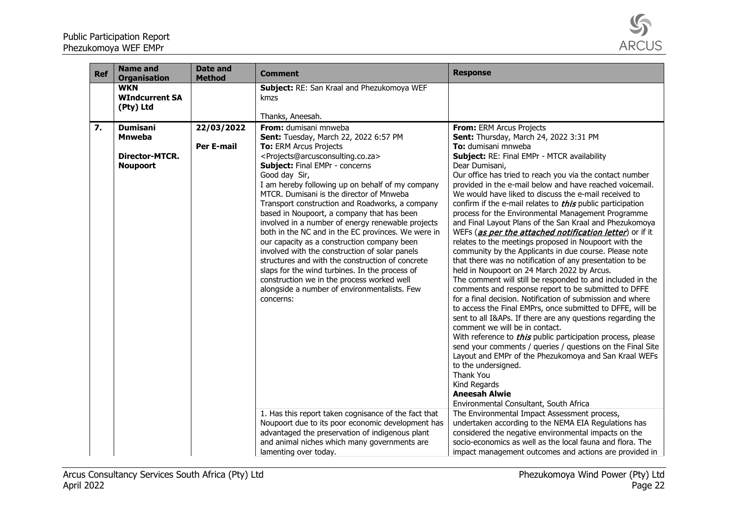

| <b>Ref</b> | <b>Name and</b><br><b>Organisation</b>                                       | <b>Date and</b><br><b>Method</b> | <b>Comment</b>                                                                                                                                                                                                                                                                                                                                                                                                                                                                                                                                                                                                                                                                                                                                                                                                                                                | <b>Response</b>                                                                                                                                                                                                                                                                                                                                                                                                                                                                                                                                                                                                                                                                                                                                                                                                                                                                                                                                                                                                                                                                                                                                                                                                                                                                                                                                                                                                                                               |
|------------|------------------------------------------------------------------------------|----------------------------------|---------------------------------------------------------------------------------------------------------------------------------------------------------------------------------------------------------------------------------------------------------------------------------------------------------------------------------------------------------------------------------------------------------------------------------------------------------------------------------------------------------------------------------------------------------------------------------------------------------------------------------------------------------------------------------------------------------------------------------------------------------------------------------------------------------------------------------------------------------------|---------------------------------------------------------------------------------------------------------------------------------------------------------------------------------------------------------------------------------------------------------------------------------------------------------------------------------------------------------------------------------------------------------------------------------------------------------------------------------------------------------------------------------------------------------------------------------------------------------------------------------------------------------------------------------------------------------------------------------------------------------------------------------------------------------------------------------------------------------------------------------------------------------------------------------------------------------------------------------------------------------------------------------------------------------------------------------------------------------------------------------------------------------------------------------------------------------------------------------------------------------------------------------------------------------------------------------------------------------------------------------------------------------------------------------------------------------------|
|            | <b>WKN</b><br><b>WIndcurrent SA</b><br>(Pty) Ltd                             |                                  | Subject: RE: San Kraal and Phezukomoya WEF<br>kmzs<br>Thanks, Aneesah.                                                                                                                                                                                                                                                                                                                                                                                                                                                                                                                                                                                                                                                                                                                                                                                        |                                                                                                                                                                                                                                                                                                                                                                                                                                                                                                                                                                                                                                                                                                                                                                                                                                                                                                                                                                                                                                                                                                                                                                                                                                                                                                                                                                                                                                                               |
| 7.         | <b>Dumisani</b><br><b>Mnweba</b><br><b>Director-MTCR.</b><br><b>Noupoort</b> | 22/03/2022<br><b>Per E-mail</b>  | From: dumisani mnweba<br>Sent: Tuesday, March 22, 2022 6:57 PM<br>To: ERM Arcus Projects<br><projects@arcusconsulting.co.za><br/>Subject: Final EMPr - concerns<br/>Good day Sir,<br/>I am hereby following up on behalf of my company<br/>MTCR. Dumisani is the director of Mnweba<br/>Transport construction and Roadworks, a company<br/>based in Noupoort, a company that has been<br/>involved in a number of energy renewable projects<br/>both in the NC and in the EC provinces. We were in<br/>our capacity as a construction company been<br/>involved with the construction of solar panels<br/>structures and with the construction of concrete<br/>slaps for the wind turbines. In the process of<br/>construction we in the process worked well<br/>alongside a number of environmentalists. Few<br/>concerns:</projects@arcusconsulting.co.za> | <b>From: ERM Arcus Projects</b><br>Sent: Thursday, March 24, 2022 3:31 PM<br>To: dumisani mnweba<br>Subject: RE: Final EMPr - MTCR availability<br>Dear Dumisani,<br>Our office has tried to reach you via the contact number<br>provided in the e-mail below and have reached voicemail.<br>We would have liked to discuss the e-mail received to<br>confirm if the e-mail relates to <i>this</i> public participation<br>process for the Environmental Management Programme<br>and Final Layout Plans of the San Kraal and Phezukomoya<br>WEFs (as per the attached notification letter) or if it<br>relates to the meetings proposed in Noupoort with the<br>community by the Applicants in due course. Please note<br>that there was no notification of any presentation to be<br>held in Noupoort on 24 March 2022 by Arcus.<br>The comment will still be responded to and included in the<br>comments and response report to be submitted to DFFE<br>for a final decision. Notification of submission and where<br>to access the Final EMPrs, once submitted to DFFE, will be<br>sent to all I&APs. If there are any questions regarding the<br>comment we will be in contact.<br>With reference to <i>this</i> public participation process, please<br>send your comments / queries / questions on the Final Site<br>Layout and EMPr of the Phezukomoya and San Kraal WEFs<br>to the undersigned.<br>Thank You<br>Kind Regards<br><b>Aneesah Alwie</b> |
|            |                                                                              |                                  | 1. Has this report taken cognisance of the fact that<br>Noupoort due to its poor economic development has<br>advantaged the preservation of indigenous plant<br>and animal niches which many governments are<br>lamenting over today.                                                                                                                                                                                                                                                                                                                                                                                                                                                                                                                                                                                                                         | Environmental Consultant, South Africa<br>The Environmental Impact Assessment process,<br>undertaken according to the NEMA EIA Regulations has<br>considered the negative environmental impacts on the<br>socio-economics as well as the local fauna and flora. The<br>impact management outcomes and actions are provided in                                                                                                                                                                                                                                                                                                                                                                                                                                                                                                                                                                                                                                                                                                                                                                                                                                                                                                                                                                                                                                                                                                                                 |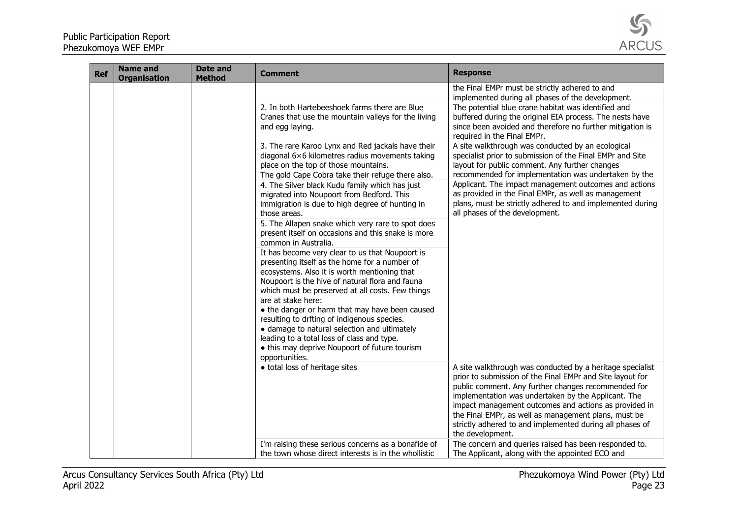

| <b>Ref</b> | <b>Name and</b><br><b>Organisation</b> | <b>Date and</b><br><b>Method</b> | <b>Comment</b>                                                                                                                                                                                                                                                                                                                                                                                                                                                                                                                                                                                                                | <b>Response</b>                                                                                                                                                                                                                                                                                                                                                                                                                                                         |
|------------|----------------------------------------|----------------------------------|-------------------------------------------------------------------------------------------------------------------------------------------------------------------------------------------------------------------------------------------------------------------------------------------------------------------------------------------------------------------------------------------------------------------------------------------------------------------------------------------------------------------------------------------------------------------------------------------------------------------------------|-------------------------------------------------------------------------------------------------------------------------------------------------------------------------------------------------------------------------------------------------------------------------------------------------------------------------------------------------------------------------------------------------------------------------------------------------------------------------|
|            |                                        |                                  | 2. In both Hartebeeshoek farms there are Blue<br>Cranes that use the mountain valleys for the living<br>and egg laying.                                                                                                                                                                                                                                                                                                                                                                                                                                                                                                       | the Final EMPr must be strictly adhered to and<br>implemented during all phases of the development.<br>The potential blue crane habitat was identified and<br>buffered during the original EIA process. The nests have<br>since been avoided and therefore no further mitigation is                                                                                                                                                                                     |
|            |                                        |                                  | 3. The rare Karoo Lynx and Red jackals have their<br>diagonal 6×6 kilometres radius movements taking<br>place on the top of those mountains.<br>The gold Cape Cobra take their refuge there also.<br>4. The Silver black Kudu family which has just<br>migrated into Noupoort from Bedford. This<br>immigration is due to high degree of hunting in<br>those areas.<br>5. The Allapen snake which very rare to spot does                                                                                                                                                                                                      | required in the Final EMPr.<br>A site walkthrough was conducted by an ecological<br>specialist prior to submission of the Final EMPr and Site<br>layout for public comment. Any further changes<br>recommended for implementation was undertaken by the<br>Applicant. The impact management outcomes and actions<br>as provided in the Final EMPr, as well as management<br>plans, must be strictly adhered to and implemented during<br>all phases of the development. |
|            |                                        |                                  | present itself on occasions and this snake is more<br>common in Australia.<br>It has become very clear to us that Noupoort is<br>presenting itself as the home for a number of<br>ecosystems. Also it is worth mentioning that<br>Noupoort is the hive of natural flora and fauna<br>which must be preserved at all costs. Few things<br>are at stake here:<br>• the danger or harm that may have been caused<br>resulting to drfting of indigenous species.<br>• damage to natural selection and ultimately<br>leading to a total loss of class and type.<br>• this may deprive Noupoort of future tourism<br>opportunities. |                                                                                                                                                                                                                                                                                                                                                                                                                                                                         |
|            |                                        |                                  | • total loss of heritage sites                                                                                                                                                                                                                                                                                                                                                                                                                                                                                                                                                                                                | A site walkthrough was conducted by a heritage specialist<br>prior to submission of the Final EMPr and Site layout for<br>public comment. Any further changes recommended for<br>implementation was undertaken by the Applicant. The<br>impact management outcomes and actions as provided in<br>the Final EMPr, as well as management plans, must be<br>strictly adhered to and implemented during all phases of<br>the development.                                   |
|            |                                        |                                  | I'm raising these serious concerns as a bonafide of<br>the town whose direct interests is in the whollistic                                                                                                                                                                                                                                                                                                                                                                                                                                                                                                                   | The concern and queries raised has been responded to.<br>The Applicant, along with the appointed ECO and                                                                                                                                                                                                                                                                                                                                                                |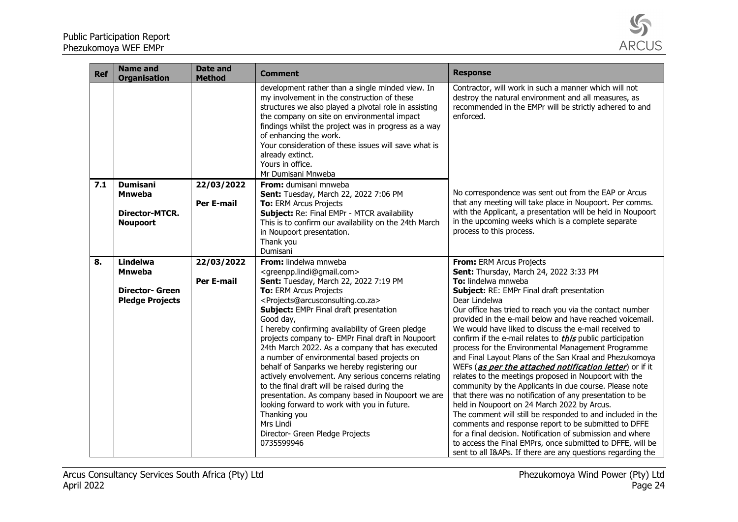

| <b>Ref</b> | <b>Name and</b><br><b>Organisation</b>                                        | <b>Date and</b><br><b>Method</b> | <b>Comment</b>                                                                                                                                                                                                                                                                                                                                                                                                                                                                                                                                                                                                                                                                                                                                                                                                                                    | <b>Response</b>                                                                                                                                                                                                                                                                                                                                                                                                                                                                                                                                                                                                                                                                                                                                                                                                                                                                                                                                                                                                                                                                                                                           |
|------------|-------------------------------------------------------------------------------|----------------------------------|---------------------------------------------------------------------------------------------------------------------------------------------------------------------------------------------------------------------------------------------------------------------------------------------------------------------------------------------------------------------------------------------------------------------------------------------------------------------------------------------------------------------------------------------------------------------------------------------------------------------------------------------------------------------------------------------------------------------------------------------------------------------------------------------------------------------------------------------------|-------------------------------------------------------------------------------------------------------------------------------------------------------------------------------------------------------------------------------------------------------------------------------------------------------------------------------------------------------------------------------------------------------------------------------------------------------------------------------------------------------------------------------------------------------------------------------------------------------------------------------------------------------------------------------------------------------------------------------------------------------------------------------------------------------------------------------------------------------------------------------------------------------------------------------------------------------------------------------------------------------------------------------------------------------------------------------------------------------------------------------------------|
|            |                                                                               |                                  | development rather than a single minded view. In<br>my involvement in the construction of these<br>structures we also played a pivotal role in assisting<br>the company on site on environmental impact<br>findings whilst the project was in progress as a way<br>of enhancing the work.<br>Your consideration of these issues will save what is<br>already extinct.<br>Yours in office.<br>Mr Dumisani Mnweba                                                                                                                                                                                                                                                                                                                                                                                                                                   | Contractor, will work in such a manner which will not<br>destroy the natural environment and all measures, as<br>recommended in the EMPr will be strictly adhered to and<br>enforced.                                                                                                                                                                                                                                                                                                                                                                                                                                                                                                                                                                                                                                                                                                                                                                                                                                                                                                                                                     |
| 7.1        | <b>Dumisani</b><br><b>Mnweba</b><br><b>Director-MTCR.</b><br><b>Noupoort</b>  | 22/03/2022<br><b>Per E-mail</b>  | From: dumisani mnweba<br>Sent: Tuesday, March 22, 2022 7:06 PM<br>To: ERM Arcus Projects<br>Subject: Re: Final EMPr - MTCR availability<br>This is to confirm our availability on the 24th March<br>in Noupoort presentation.<br>Thank you<br>Dumisani                                                                                                                                                                                                                                                                                                                                                                                                                                                                                                                                                                                            | No correspondence was sent out from the EAP or Arcus<br>that any meeting will take place in Noupoort. Per comms.<br>with the Applicant, a presentation will be held in Noupoort<br>in the upcoming weeks which is a complete separate<br>process to this process.                                                                                                                                                                                                                                                                                                                                                                                                                                                                                                                                                                                                                                                                                                                                                                                                                                                                         |
| 8.         | Lindelwa<br><b>Mnweba</b><br><b>Director- Green</b><br><b>Pledge Projects</b> | 22/03/2022<br><b>Per E-mail</b>  | From: lindelwa mnweba<br><greenpp.lindi@gmail.com><br/>Sent: Tuesday, March 22, 2022 7:19 PM<br/>To: ERM Arcus Projects<br/><projects@arcusconsulting.co.za><br/>Subject: EMPr Final draft presentation<br/>Good day,<br/>I hereby confirming availability of Green pledge<br/>projects company to- EMPr Final draft in Noupoort<br/>24th March 2022. As a company that has executed<br/>a number of environmental based projects on<br/>behalf of Sanparks we hereby registering our<br/>actively envolvement. Any serious concerns relating<br/>to the final draft will be raised during the<br/>presentation. As company based in Noupoort we are<br/>looking forward to work with you in future.<br/>Thanking you<br/>Mrs Lindi<br/>Director- Green Pledge Projects<br/>0735599946</projects@arcusconsulting.co.za></greenpp.lindi@gmail.com> | From: ERM Arcus Projects<br>Sent: Thursday, March 24, 2022 3:33 PM<br>To: lindelwa mnweba<br>Subject: RE: EMPr Final draft presentation<br>Dear Lindelwa<br>Our office has tried to reach you via the contact number<br>provided in the e-mail below and have reached voicemail.<br>We would have liked to discuss the e-mail received to<br>confirm if the e-mail relates to <i>this</i> public participation<br>process for the Environmental Management Programme<br>and Final Layout Plans of the San Kraal and Phezukomoya<br>WEFs (as per the attached notification letter) or if it<br>relates to the meetings proposed in Noupoort with the<br>community by the Applicants in due course. Please note<br>that there was no notification of any presentation to be<br>held in Noupoort on 24 March 2022 by Arcus.<br>The comment will still be responded to and included in the<br>comments and response report to be submitted to DFFE<br>for a final decision. Notification of submission and where<br>to access the Final EMPrs, once submitted to DFFE, will be<br>sent to all I&APs. If there are any questions regarding the |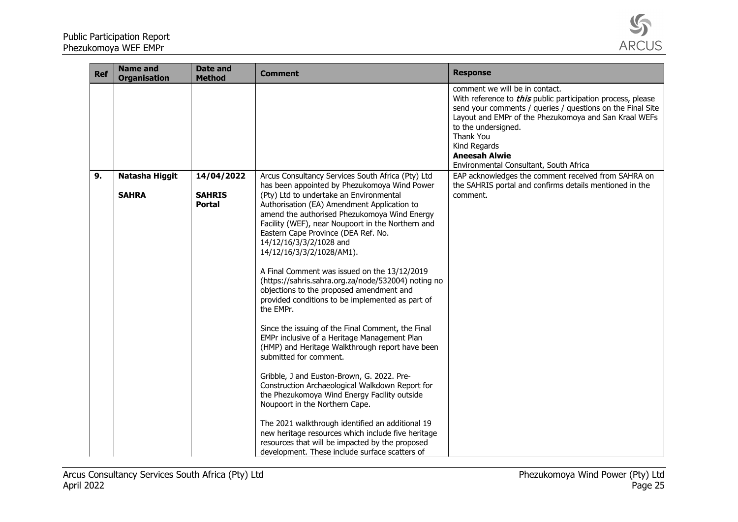

| <b>Ref</b> | <b>Name and</b><br><b>Organisation</b> | <b>Date and</b><br><b>Method</b> | <b>Comment</b>                                                                                                                                                                                                                                                                                                                                                                                                                                                                                                                                                                                                                                                                                                                                                                                                                                                                                                                                                                          | <b>Response</b>                                                                                                                                                                                                                                                                                                                                   |
|------------|----------------------------------------|----------------------------------|-----------------------------------------------------------------------------------------------------------------------------------------------------------------------------------------------------------------------------------------------------------------------------------------------------------------------------------------------------------------------------------------------------------------------------------------------------------------------------------------------------------------------------------------------------------------------------------------------------------------------------------------------------------------------------------------------------------------------------------------------------------------------------------------------------------------------------------------------------------------------------------------------------------------------------------------------------------------------------------------|---------------------------------------------------------------------------------------------------------------------------------------------------------------------------------------------------------------------------------------------------------------------------------------------------------------------------------------------------|
|            |                                        |                                  |                                                                                                                                                                                                                                                                                                                                                                                                                                                                                                                                                                                                                                                                                                                                                                                                                                                                                                                                                                                         | comment we will be in contact.<br>With reference to <i>this</i> public participation process, please<br>send your comments / queries / questions on the Final Site<br>Layout and EMPr of the Phezukomoya and San Kraal WEFs<br>to the undersigned.<br>Thank You<br>Kind Regards<br><b>Aneesah Alwie</b><br>Environmental Consultant, South Africa |
| 9.         | Natasha Higgit                         | 14/04/2022                       | Arcus Consultancy Services South Africa (Pty) Ltd                                                                                                                                                                                                                                                                                                                                                                                                                                                                                                                                                                                                                                                                                                                                                                                                                                                                                                                                       | EAP acknowledges the comment received from SAHRA on                                                                                                                                                                                                                                                                                               |
|            | <b>SAHRA</b>                           | <b>SAHRIS</b><br><b>Portal</b>   | has been appointed by Phezukomoya Wind Power<br>(Pty) Ltd to undertake an Environmental<br>Authorisation (EA) Amendment Application to<br>amend the authorised Phezukomoya Wind Energy<br>Facility (WEF), near Noupoort in the Northern and<br>Eastern Cape Province (DEA Ref. No.<br>14/12/16/3/3/2/1028 and<br>14/12/16/3/3/2/1028/AM1).<br>A Final Comment was issued on the 13/12/2019<br>(https://sahris.sahra.org.za/node/532004) noting no<br>objections to the proposed amendment and<br>provided conditions to be implemented as part of<br>the EMPr.<br>Since the issuing of the Final Comment, the Final<br>EMPr inclusive of a Heritage Management Plan<br>(HMP) and Heritage Walkthrough report have been<br>submitted for comment.<br>Gribble, J and Euston-Brown, G. 2022. Pre-<br>Construction Archaeological Walkdown Report for<br>the Phezukomoya Wind Energy Facility outside<br>Noupoort in the Northern Cape.<br>The 2021 walkthrough identified an additional 19 | the SAHRIS portal and confirms details mentioned in the<br>comment.                                                                                                                                                                                                                                                                               |
|            |                                        |                                  | new heritage resources which include five heritage<br>resources that will be impacted by the proposed<br>development. These include surface scatters of                                                                                                                                                                                                                                                                                                                                                                                                                                                                                                                                                                                                                                                                                                                                                                                                                                 |                                                                                                                                                                                                                                                                                                                                                   |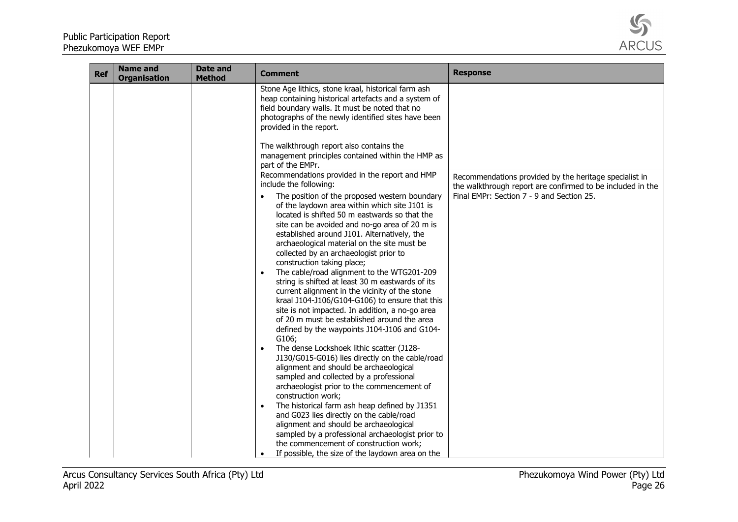

| <b>Ref</b> | <b>Name and</b><br><b>Organisation</b> | Date and<br><b>Method</b> | <b>Comment</b>                                                                                                                                                                                                                                                                                                                                                                                                                                                                                                                                                                                                                                                                                                                                                                                                                                                                                                                | <b>Response</b>                                                                                                                                                   |
|------------|----------------------------------------|---------------------------|-------------------------------------------------------------------------------------------------------------------------------------------------------------------------------------------------------------------------------------------------------------------------------------------------------------------------------------------------------------------------------------------------------------------------------------------------------------------------------------------------------------------------------------------------------------------------------------------------------------------------------------------------------------------------------------------------------------------------------------------------------------------------------------------------------------------------------------------------------------------------------------------------------------------------------|-------------------------------------------------------------------------------------------------------------------------------------------------------------------|
|            |                                        |                           | Stone Age lithics, stone kraal, historical farm ash<br>heap containing historical artefacts and a system of<br>field boundary walls. It must be noted that no<br>photographs of the newly identified sites have been<br>provided in the report.<br>The walkthrough report also contains the<br>management principles contained within the HMP as<br>part of the EMPr.<br>Recommendations provided in the report and HMP<br>include the following:<br>The position of the proposed western boundary<br>of the laydown area within which site J101 is<br>located is shifted 50 m eastwards so that the<br>site can be avoided and no-go area of 20 m is<br>established around J101. Alternatively, the<br>archaeological material on the site must be<br>collected by an archaeologist prior to<br>construction taking place;<br>The cable/road alignment to the WTG201-209<br>string is shifted at least 30 m eastwards of its | Recommendations provided by the heritage specialist in<br>the walkthrough report are confirmed to be included in the<br>Final EMPr: Section 7 - 9 and Section 25. |
|            |                                        |                           | current alignment in the vicinity of the stone<br>kraal J104-J106/G104-G106) to ensure that this<br>site is not impacted. In addition, a no-go area<br>of 20 m must be established around the area<br>defined by the waypoints J104-J106 and G104-<br>G106;<br>The dense Lockshoek lithic scatter (J128-<br>J130/G015-G016) lies directly on the cable/road<br>alignment and should be archaeological<br>sampled and collected by a professional<br>archaeologist prior to the commencement of<br>construction work;<br>The historical farm ash heap defined by J1351<br>and G023 lies directly on the cable/road<br>alignment and should be archaeological<br>sampled by a professional archaeologist prior to<br>the commencement of construction work;<br>If possible, the size of the laydown area on the                                                                                                                 |                                                                                                                                                                   |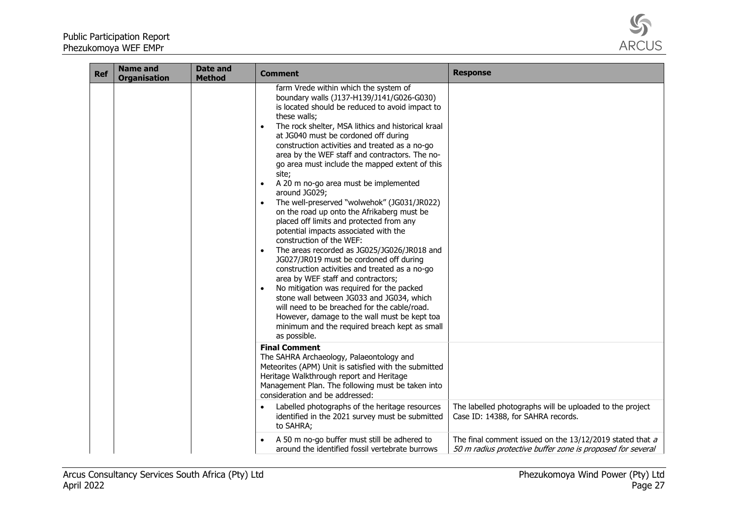

| <b>Ref</b> | <b>Name and</b><br><b>Organisation</b> | <b>Date and</b><br><b>Method</b> | Comment                                                                                                                                                                                                                                                                                                                                                                                                                                                                                                                                                                                                                                                                                                                                                                                                                                                                                                                                                                                                                                                                                                                                 | <b>Response</b>                                                                                                        |
|------------|----------------------------------------|----------------------------------|-----------------------------------------------------------------------------------------------------------------------------------------------------------------------------------------------------------------------------------------------------------------------------------------------------------------------------------------------------------------------------------------------------------------------------------------------------------------------------------------------------------------------------------------------------------------------------------------------------------------------------------------------------------------------------------------------------------------------------------------------------------------------------------------------------------------------------------------------------------------------------------------------------------------------------------------------------------------------------------------------------------------------------------------------------------------------------------------------------------------------------------------|------------------------------------------------------------------------------------------------------------------------|
|            |                                        |                                  | farm Vrede within which the system of<br>boundary walls (J137-H139/J141/G026-G030)<br>is located should be reduced to avoid impact to<br>these walls;<br>The rock shelter, MSA lithics and historical kraal<br>at JG040 must be cordoned off during<br>construction activities and treated as a no-go<br>area by the WEF staff and contractors. The no-<br>go area must include the mapped extent of this<br>site;<br>A 20 m no-go area must be implemented<br>around JG029;<br>The well-preserved "wolwehok" (JG031/JR022)<br>on the road up onto the Afrikaberg must be<br>placed off limits and protected from any<br>potential impacts associated with the<br>construction of the WEF:<br>The areas recorded as JG025/JG026/JR018 and<br>JG027/JR019 must be cordoned off during<br>construction activities and treated as a no-go<br>area by WEF staff and contractors;<br>No mitigation was required for the packed<br>stone wall between JG033 and JG034, which<br>will need to be breached for the cable/road.<br>However, damage to the wall must be kept toa<br>minimum and the required breach kept as small<br>as possible. |                                                                                                                        |
|            |                                        |                                  | <b>Final Comment</b><br>The SAHRA Archaeology, Palaeontology and<br>Meteorites (APM) Unit is satisfied with the submitted<br>Heritage Walkthrough report and Heritage<br>Management Plan. The following must be taken into<br>consideration and be addressed:                                                                                                                                                                                                                                                                                                                                                                                                                                                                                                                                                                                                                                                                                                                                                                                                                                                                           |                                                                                                                        |
|            |                                        |                                  | Labelled photographs of the heritage resources<br>identified in the 2021 survey must be submitted<br>to SAHRA;                                                                                                                                                                                                                                                                                                                                                                                                                                                                                                                                                                                                                                                                                                                                                                                                                                                                                                                                                                                                                          | The labelled photographs will be uploaded to the project<br>Case ID: 14388, for SAHRA records.                         |
|            |                                        |                                  | A 50 m no-go buffer must still be adhered to<br>around the identified fossil vertebrate burrows                                                                                                                                                                                                                                                                                                                                                                                                                                                                                                                                                                                                                                                                                                                                                                                                                                                                                                                                                                                                                                         | The final comment issued on the 13/12/2019 stated that a<br>50 m radius protective buffer zone is proposed for several |